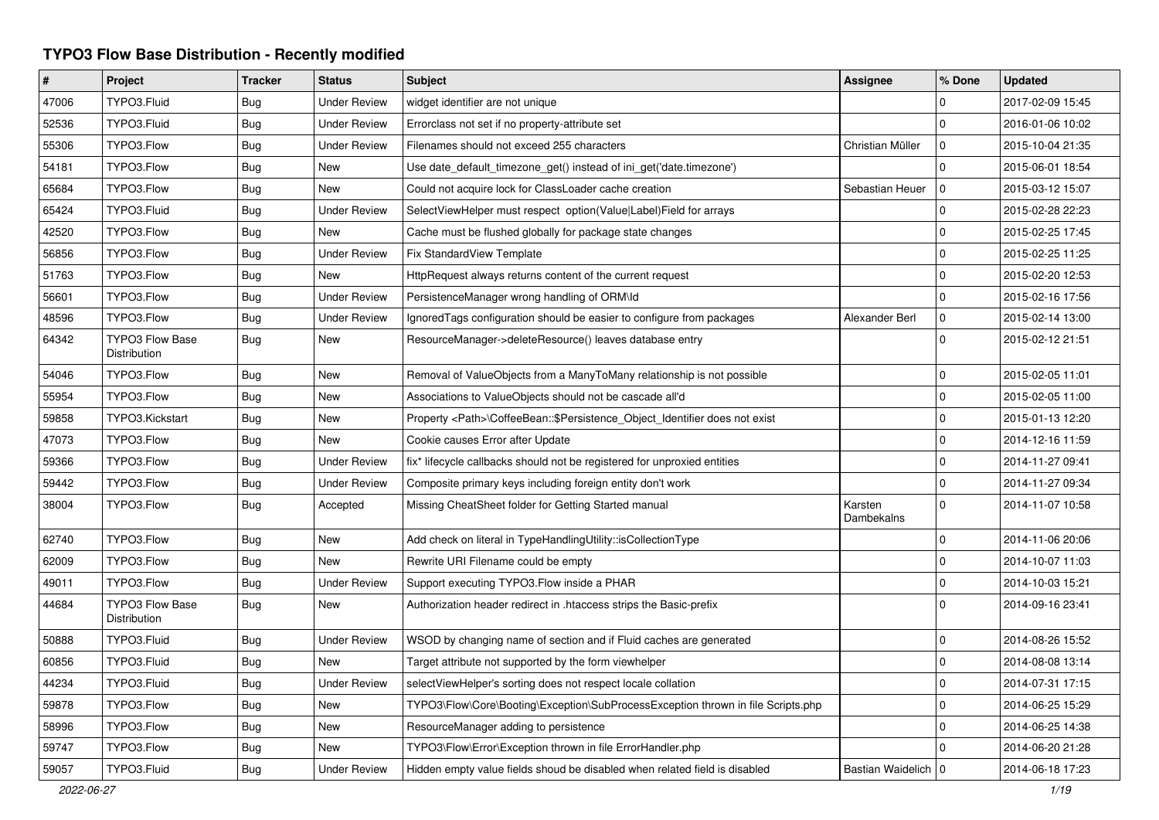## **TYPO3 Flow Base Distribution - Recently modified**

| $\vert$ # | Project                                | <b>Tracker</b> | <b>Status</b>       | <b>Subject</b>                                                                    | <b>Assignee</b>       | % Done       | <b>Updated</b>   |
|-----------|----------------------------------------|----------------|---------------------|-----------------------------------------------------------------------------------|-----------------------|--------------|------------------|
| 47006     | TYPO3.Fluid                            | Bug            | <b>Under Review</b> | widget identifier are not unique                                                  |                       | $\Omega$     | 2017-02-09 15:45 |
| 52536     | TYPO3.Fluid                            | <b>Bug</b>     | <b>Under Review</b> | Errorclass not set if no property-attribute set                                   |                       | $\mathbf{0}$ | 2016-01-06 10:02 |
| 55306     | TYPO3.Flow                             | Bug            | <b>Under Review</b> | Filenames should not exceed 255 characters                                        | Christian Müller      | $\mathbf 0$  | 2015-10-04 21:35 |
| 54181     | TYPO3.Flow                             | <b>Bug</b>     | New                 | Use date_default_timezone_get() instead of ini_get('date.timezone')               |                       | $\mathbf 0$  | 2015-06-01 18:54 |
| 65684     | TYPO3.Flow                             | Bug            | <b>New</b>          | Could not acquire lock for ClassLoader cache creation                             | Sebastian Heuer       | $\mathbf{0}$ | 2015-03-12 15:07 |
| 65424     | TYPO3.Fluid                            | <b>Bug</b>     | <b>Under Review</b> | SelectViewHelper must respect option(Value Label)Field for arrays                 |                       | $\mathbf 0$  | 2015-02-28 22:23 |
| 42520     | TYPO3.Flow                             | Bug            | <b>New</b>          | Cache must be flushed globally for package state changes                          |                       | $\mathbf 0$  | 2015-02-25 17:45 |
| 56856     | TYPO3.Flow                             | <b>Bug</b>     | <b>Under Review</b> | Fix StandardView Template                                                         |                       | $\Omega$     | 2015-02-25 11:25 |
| 51763     | TYPO3.Flow                             | Bug            | <b>New</b>          | HttpRequest always returns content of the current request                         |                       | $\pmb{0}$    | 2015-02-20 12:53 |
| 56601     | TYPO3.Flow                             | <b>Bug</b>     | <b>Under Review</b> | PersistenceManager wrong handling of ORM\ld                                       |                       | $\Omega$     | 2015-02-16 17:56 |
| 48596     | TYPO3.Flow                             | Bug            | <b>Under Review</b> | Ignored Tags configuration should be easier to configure from packages            | Alexander Berl        | $\pmb{0}$    | 2015-02-14 13:00 |
| 64342     | <b>TYPO3 Flow Base</b><br>Distribution | <b>Bug</b>     | New                 | ResourceManager->deleteResource() leaves database entry                           |                       | $\Omega$     | 2015-02-12 21:51 |
| 54046     | TYPO3.Flow                             | <b>Bug</b>     | New                 | Removal of ValueObjects from a ManyToMany relationship is not possible            |                       | $\Omega$     | 2015-02-05 11:01 |
| 55954     | TYPO3.Flow                             | Bug            | New                 | Associations to ValueObjects should not be cascade all'd                          |                       | $\mathbf{0}$ | 2015-02-05 11:00 |
| 59858     | TYPO3.Kickstart                        | Bug            | New                 | Property <path>\CoffeeBean::\$Persistence_Object_Identifier does not exist</path> |                       | $\mathbf{0}$ | 2015-01-13 12:20 |
| 47073     | TYPO3.Flow                             | Bug            | New                 | Cookie causes Error after Update                                                  |                       | $\mathbf{0}$ | 2014-12-16 11:59 |
| 59366     | TYPO3.Flow                             | <b>Bug</b>     | <b>Under Review</b> | fix* lifecycle callbacks should not be registered for unproxied entities          |                       | $\mathbf{0}$ | 2014-11-27 09:41 |
| 59442     | TYPO3.Flow                             | Bug            | <b>Under Review</b> | Composite primary keys including foreign entity don't work                        |                       | $\mathbf{0}$ | 2014-11-27 09:34 |
| 38004     | TYPO3.Flow                             | Bug            | Accepted            | Missing CheatSheet folder for Getting Started manual                              | Karsten<br>Dambekalns | $\Omega$     | 2014-11-07 10:58 |
| 62740     | TYPO3.Flow                             | <b>Bug</b>     | New                 | Add check on literal in TypeHandlingUtility::isCollectionType                     |                       | 0            | 2014-11-06 20:06 |
| 62009     | TYPO3.Flow                             | Bug            | New                 | Rewrite URI Filename could be empty                                               |                       | $\mathbf{0}$ | 2014-10-07 11:03 |
| 49011     | TYPO3.Flow                             | <b>Bug</b>     | <b>Under Review</b> | Support executing TYPO3. Flow inside a PHAR                                       |                       | $\mathbf 0$  | 2014-10-03 15:21 |
| 44684     | <b>TYPO3 Flow Base</b><br>Distribution | Bug            | New                 | Authorization header redirect in .htaccess strips the Basic-prefix                |                       | $\mathbf{0}$ | 2014-09-16 23:41 |
| 50888     | TYPO3.Fluid                            | <b>Bug</b>     | <b>Under Review</b> | WSOD by changing name of section and if Fluid caches are generated                |                       | $\mathbf{0}$ | 2014-08-26 15:52 |
| 60856     | TYPO3.Fluid                            | <b>Bug</b>     | <b>New</b>          | Target attribute not supported by the form viewhelper                             |                       | $\mathbf 0$  | 2014-08-08 13:14 |
| 44234     | TYPO3.Fluid                            | <b>Bug</b>     | <b>Under Review</b> | selectViewHelper's sorting does not respect locale collation                      |                       | 0            | 2014-07-31 17:15 |
| 59878     | TYPO3.Flow                             | <b>Bug</b>     | <b>New</b>          | TYPO3\Flow\Core\Booting\Exception\SubProcessException thrown in file Scripts.php  |                       | $\mathbf 0$  | 2014-06-25 15:29 |
| 58996     | TYPO3.Flow                             | Bug            | New                 | ResourceManager adding to persistence                                             |                       | $\mathbf{0}$ | 2014-06-25 14:38 |
| 59747     | TYPO3.Flow                             | <b>Bug</b>     | <b>New</b>          | TYPO3\Flow\Error\Exception thrown in file ErrorHandler.php                        |                       | $\Omega$     | 2014-06-20 21:28 |
| 59057     | TYPO3.Fluid                            | <b>Bug</b>     | <b>Under Review</b> | Hidden empty value fields shoud be disabled when related field is disabled        | Bastian Waidelich   0 |              | 2014-06-18 17:23 |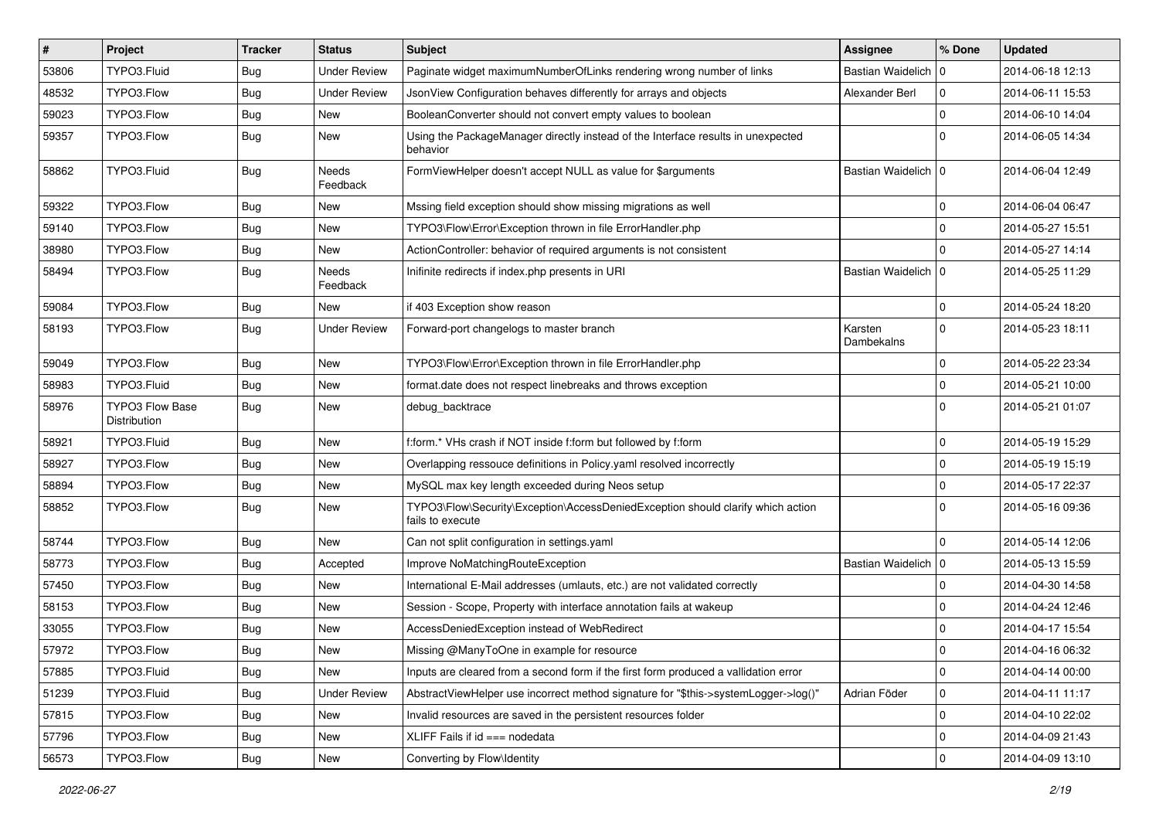| $\vert$ # | Project                         | <b>Tracker</b> | <b>Status</b>       | Subject                                                                                             | <b>Assignee</b>       | % Done              | <b>Updated</b>   |
|-----------|---------------------------------|----------------|---------------------|-----------------------------------------------------------------------------------------------------|-----------------------|---------------------|------------------|
| 53806     | TYPO3.Fluid                     | <b>Bug</b>     | <b>Under Review</b> | Paginate widget maximumNumberOfLinks rendering wrong number of links                                | Bastian Waidelich   0 |                     | 2014-06-18 12:13 |
| 48532     | TYPO3.Flow                      | <b>Bug</b>     | <b>Under Review</b> | JsonView Configuration behaves differently for arrays and objects                                   | Alexander Berl        | $\mathbf 0$         | 2014-06-11 15:53 |
| 59023     | TYPO3.Flow                      | Bug            | New                 | BooleanConverter should not convert empty values to boolean                                         |                       | $\mathbf 0$         | 2014-06-10 14:04 |
| 59357     | TYPO3.Flow                      | Bug            | New                 | Using the PackageManager directly instead of the Interface results in unexpected<br>behavior        |                       | $\mathbf 0$         | 2014-06-05 14:34 |
| 58862     | TYPO3.Fluid                     | <b>Bug</b>     | Needs<br>Feedback   | FormViewHelper doesn't accept NULL as value for \$arguments                                         | Bastian Waidelich   0 |                     | 2014-06-04 12:49 |
| 59322     | TYPO3.Flow                      | <b>Bug</b>     | New                 | Mssing field exception should show missing migrations as well                                       |                       | $\mathbf 0$         | 2014-06-04 06:47 |
| 59140     | TYPO3.Flow                      | Bug            | New                 | TYPO3\Flow\Error\Exception thrown in file ErrorHandler.php                                          |                       | $\mathbf 0$         | 2014-05-27 15:51 |
| 38980     | TYPO3.Flow                      | <b>Bug</b>     | New                 | ActionController: behavior of required arguments is not consistent                                  |                       | $\mathbf 0$         | 2014-05-27 14:14 |
| 58494     | TYPO3.Flow                      | Bug            | Needs<br>Feedback   | Inifinite redirects if index.php presents in URI                                                    | Bastian Waidelich   0 |                     | 2014-05-25 11:29 |
| 59084     | TYPO3.Flow                      | <b>Bug</b>     | New                 | if 403 Exception show reason                                                                        |                       | 0                   | 2014-05-24 18:20 |
| 58193     | TYPO3.Flow                      | Bug            | <b>Under Review</b> | Forward-port changelogs to master branch                                                            | Karsten<br>Dambekalns | $\mathbf 0$         | 2014-05-23 18:11 |
| 59049     | TYPO3.Flow                      | <b>Bug</b>     | New                 | TYPO3\Flow\Error\Exception thrown in file ErrorHandler.php                                          |                       | $\mathbf 0$         | 2014-05-22 23:34 |
| 58983     | TYPO3.Fluid                     | Bug            | <b>New</b>          | format.date does not respect linebreaks and throws exception                                        |                       | 0                   | 2014-05-21 10:00 |
| 58976     | TYPO3 Flow Base<br>Distribution | <b>Bug</b>     | New                 | debug_backtrace                                                                                     |                       | $\Omega$            | 2014-05-21 01:07 |
| 58921     | TYPO3.Fluid                     | <b>Bug</b>     | New                 | f:form.* VHs crash if NOT inside f:form but followed by f:form                                      |                       | $\mathbf 0$         | 2014-05-19 15:29 |
| 58927     | TYPO3.Flow                      | Bug            | <b>New</b>          | Overlapping ressouce definitions in Policy.yaml resolved incorrectly                                |                       | 0                   | 2014-05-19 15:19 |
| 58894     | TYPO3.Flow                      | Bug            | New                 | MySQL max key length exceeded during Neos setup                                                     |                       | 0                   | 2014-05-17 22:37 |
| 58852     | TYPO3.Flow                      | Bug            | New                 | TYPO3\Flow\Security\Exception\AccessDeniedException should clarify which action<br>fails to execute |                       | $\mathbf 0$         | 2014-05-16 09:36 |
| 58744     | TYPO3.Flow                      | <b>Bug</b>     | New                 | Can not split configuration in settings.yaml                                                        |                       | $\Omega$            | 2014-05-14 12:06 |
| 58773     | TYPO3.Flow                      | Bug            | Accepted            | Improve NoMatchingRouteException                                                                    | Bastian Waidelich   0 |                     | 2014-05-13 15:59 |
| 57450     | TYPO3.Flow                      | Bug            | New                 | International E-Mail addresses (umlauts, etc.) are not validated correctly                          |                       | 0                   | 2014-04-30 14:58 |
| 58153     | TYPO3.Flow                      | <b>Bug</b>     | New                 | Session - Scope, Property with interface annotation fails at wakeup                                 |                       | 0                   | 2014-04-24 12:46 |
| 33055     | TYPO3.Flow                      | <b>Bug</b>     | <b>New</b>          | AccessDeniedException instead of WebRedirect                                                        |                       | 0                   | 2014-04-17 15:54 |
| 57972     | TYPO3.Flow                      | I Bug          | New                 | Missing @ManyToOne in example for resource                                                          |                       | $\mathbf{0}$        | 2014-04-16 06:32 |
| 57885     | TYPO3.Fluid                     | <b>Bug</b>     | New                 | Inputs are cleared from a second form if the first form produced a vallidation error                |                       | 0                   | 2014-04-14 00:00 |
| 51239     | TYPO3.Fluid                     | Bug            | <b>Under Review</b> | AbstractViewHelper use incorrect method signature for "\$this->systemLogger->log()"                 | Adrian Föder          | 0                   | 2014-04-11 11:17 |
| 57815     | TYPO3.Flow                      | <b>Bug</b>     | New                 | Invalid resources are saved in the persistent resources folder                                      |                       | $\mathsf{O}\xspace$ | 2014-04-10 22:02 |
| 57796     | TYPO3.Flow                      | <b>Bug</b>     | New                 | XLIFF Fails if id === nodedata                                                                      |                       | 0                   | 2014-04-09 21:43 |
| 56573     | TYPO3.Flow                      | Bug            | New                 | Converting by Flow\Identity                                                                         |                       | $\mathsf{O}\xspace$ | 2014-04-09 13:10 |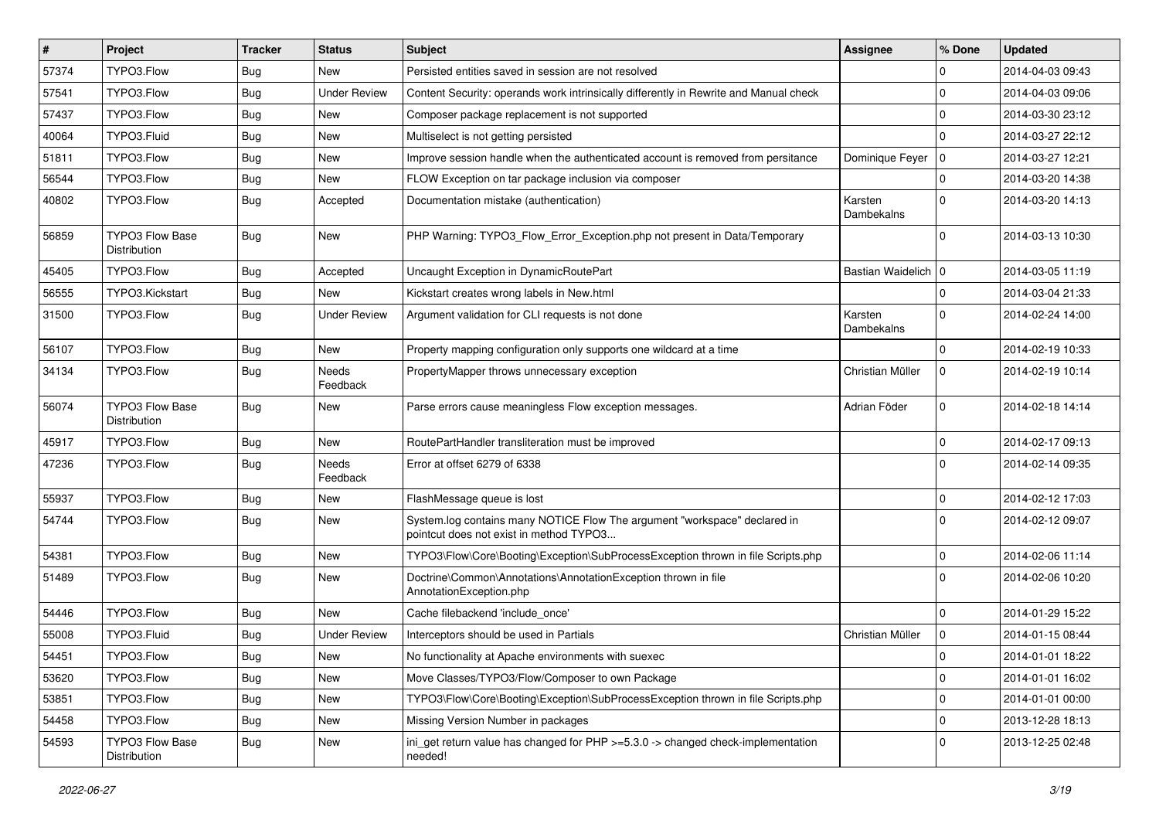| #     | Project                                | <b>Tracker</b> | <b>Status</b>            | <b>Subject</b>                                                                                                       | <b>Assignee</b>       | % Done         | <b>Updated</b>   |
|-------|----------------------------------------|----------------|--------------------------|----------------------------------------------------------------------------------------------------------------------|-----------------------|----------------|------------------|
| 57374 | TYPO3.Flow                             | <b>Bug</b>     | New                      | Persisted entities saved in session are not resolved                                                                 |                       | $\Omega$       | 2014-04-03 09:43 |
| 57541 | TYPO3.Flow                             | <b>Bug</b>     | <b>Under Review</b>      | Content Security: operands work intrinsically differently in Rewrite and Manual check                                |                       | $\Omega$       | 2014-04-03 09:06 |
| 57437 | TYPO3.Flow                             | Bug            | New                      | Composer package replacement is not supported                                                                        |                       | $\Omega$       | 2014-03-30 23:12 |
| 40064 | TYPO3.Fluid                            | <b>Bug</b>     | New                      | Multiselect is not getting persisted                                                                                 |                       | $\Omega$       | 2014-03-27 22:12 |
| 51811 | TYPO3.Flow                             | <b>Bug</b>     | <b>New</b>               | Improve session handle when the authenticated account is removed from persitance                                     | Dominique Feyer       | 10             | 2014-03-27 12:21 |
| 56544 | TYPO3.Flow                             | <b>Bug</b>     | New                      | FLOW Exception on tar package inclusion via composer                                                                 |                       | $\Omega$       | 2014-03-20 14:38 |
| 40802 | TYPO3.Flow                             | <b>Bug</b>     | Accepted                 | Documentation mistake (authentication)                                                                               | Karsten<br>Dambekalns | $\Omega$       | 2014-03-20 14:13 |
| 56859 | <b>TYPO3 Flow Base</b><br>Distribution | <b>Bug</b>     | New                      | PHP Warning: TYPO3_Flow_Error_Exception.php not present in Data/Temporary                                            |                       | $\Omega$       | 2014-03-13 10:30 |
| 45405 | TYPO3.Flow                             | Bug            | Accepted                 | Uncaught Exception in DynamicRoutePart                                                                               | Bastian Waidelich   0 |                | 2014-03-05 11:19 |
| 56555 | TYPO3.Kickstart                        | Bug            | New                      | Kickstart creates wrong labels in New.html                                                                           |                       | $\Omega$       | 2014-03-04 21:33 |
| 31500 | TYPO3.Flow                             | <b>Bug</b>     | <b>Under Review</b>      | Argument validation for CLI requests is not done                                                                     | Karsten<br>Dambekalns | $\Omega$       | 2014-02-24 14:00 |
| 56107 | TYPO3.Flow                             | <b>Bug</b>     | New                      | Property mapping configuration only supports one wildcard at a time                                                  |                       | $\Omega$       | 2014-02-19 10:33 |
| 34134 | TYPO3.Flow                             | <b>Bug</b>     | Needs<br>Feedback        | PropertyMapper throws unnecessary exception                                                                          | Christian Müller      | $\mathbf 0$    | 2014-02-19 10:14 |
| 56074 | <b>TYPO3 Flow Base</b><br>Distribution | <b>Bug</b>     | New                      | Parse errors cause meaningless Flow exception messages.                                                              | Adrian Föder          | $\mathbf 0$    | 2014-02-18 14:14 |
| 45917 | TYPO3.Flow                             | <b>Bug</b>     | <b>New</b>               | RoutePartHandler transliteration must be improved                                                                    |                       | $\Omega$       | 2014-02-17 09:13 |
| 47236 | TYPO3.Flow                             | Bug            | <b>Needs</b><br>Feedback | Error at offset 6279 of 6338                                                                                         |                       | $\Omega$       | 2014-02-14 09:35 |
| 55937 | TYPO3.Flow                             | Bug            | New                      | FlashMessage queue is lost                                                                                           |                       | $\Omega$       | 2014-02-12 17:03 |
| 54744 | TYPO3.Flow                             | <b>Bug</b>     | New                      | System.log contains many NOTICE Flow The argument "workspace" declared in<br>pointcut does not exist in method TYPO3 |                       | $\Omega$       | 2014-02-12 09:07 |
| 54381 | TYPO3.Flow                             | <b>Bug</b>     | <b>New</b>               | TYPO3\Flow\Core\Booting\Exception\SubProcessException thrown in file Scripts.php                                     |                       | $\Omega$       | 2014-02-06 11:14 |
| 51489 | TYPO3.Flow                             | <b>Bug</b>     | New                      | Doctrine\Common\Annotations\AnnotationException thrown in file<br>AnnotationException.php                            |                       | $\Omega$       | 2014-02-06 10:20 |
| 54446 | TYPO3.Flow                             | <b>Bug</b>     | New                      | Cache filebackend 'include_once'                                                                                     |                       | $\Omega$       | 2014-01-29 15:22 |
| 55008 | TYPO3.Fluid                            | <b>Bug</b>     | <b>Under Review</b>      | Interceptors should be used in Partials                                                                              | Christian Müller      | $\mathbf 0$    | 2014-01-15 08:44 |
| 54451 | TYPO3.Flow                             | <b>Bug</b>     | New                      | No functionality at Apache environments with suexec                                                                  |                       | $\pmb{0}$      | 2014-01-01 18:22 |
| 53620 | TYPO3.Flow                             | <b>Bug</b>     | New                      | Move Classes/TYPO3/Flow/Composer to own Package                                                                      |                       | $\mathbf 0$    | 2014-01-01 16:02 |
| 53851 | TYPO3.Flow                             | <b>Bug</b>     | New                      | TYPO3\Flow\Core\Booting\Exception\SubProcessException thrown in file Scripts.php                                     |                       | $\overline{0}$ | 2014-01-01 00:00 |
| 54458 | TYPO3.Flow                             | <b>Bug</b>     | New                      | Missing Version Number in packages                                                                                   |                       | $\overline{0}$ | 2013-12-28 18:13 |
| 54593 | <b>TYPO3 Flow Base</b><br>Distribution | Bug            | New                      | ini get return value has changed for $PHP \ge 5.3.0 \ge$ changed check-implementation<br>needed!                     |                       | $\overline{0}$ | 2013-12-25 02:48 |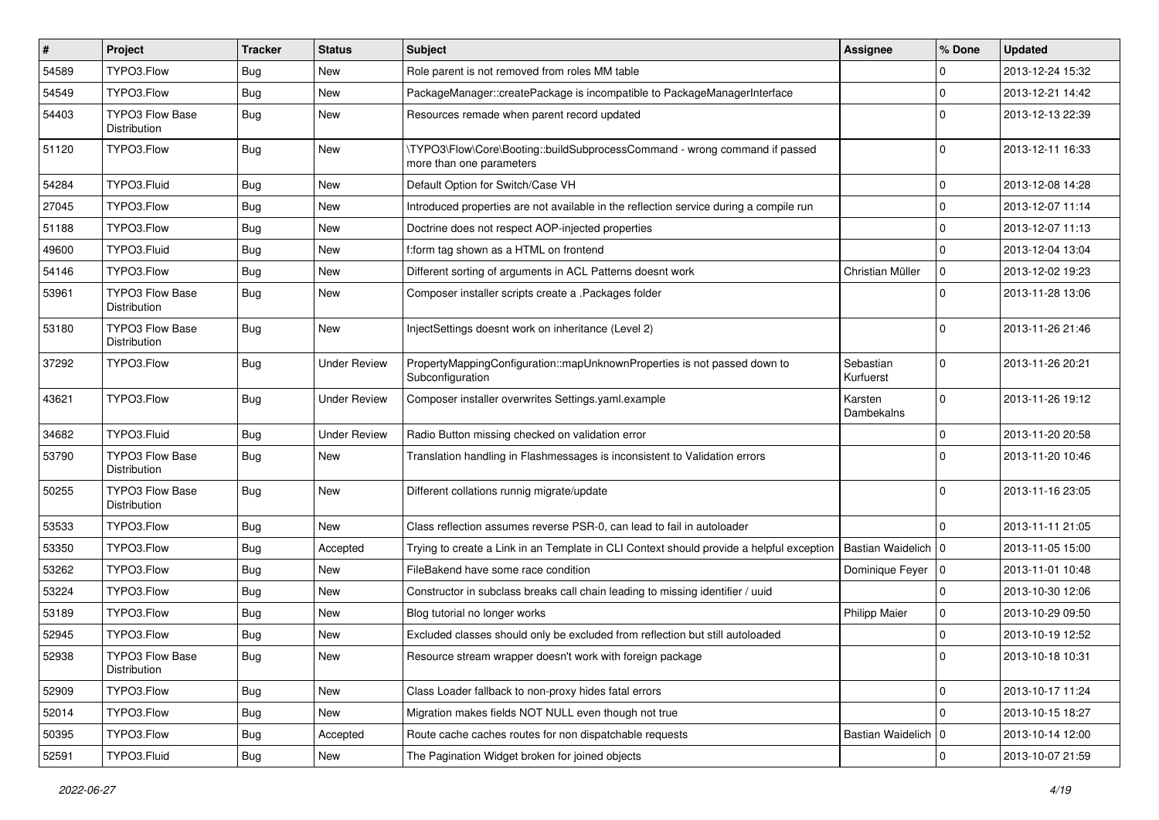| #     | Project                                | <b>Tracker</b> | <b>Status</b>       | <b>Subject</b>                                                                                         | <b>Assignee</b>        | % Done       | <b>Updated</b>   |
|-------|----------------------------------------|----------------|---------------------|--------------------------------------------------------------------------------------------------------|------------------------|--------------|------------------|
| 54589 | TYPO3.Flow                             | <b>Bug</b>     | New                 | Role parent is not removed from roles MM table                                                         |                        | 0            | 2013-12-24 15:32 |
| 54549 | TYPO3.Flow                             | <b>Bug</b>     | <b>New</b>          | PackageManager::createPackage is incompatible to PackageManagerInterface                               |                        | $\mathbf 0$  | 2013-12-21 14:42 |
| 54403 | <b>TYPO3 Flow Base</b><br>Distribution | <b>Bug</b>     | New                 | Resources remade when parent record updated                                                            |                        | $\Omega$     | 2013-12-13 22:39 |
| 51120 | TYPO3.Flow                             | <b>Bug</b>     | <b>New</b>          | \TYPO3\Flow\Core\Booting::buildSubprocessCommand - wrong command if passed<br>more than one parameters |                        | $\mathbf 0$  | 2013-12-11 16:33 |
| 54284 | TYPO3.Fluid                            | <b>Bug</b>     | New                 | Default Option for Switch/Case VH                                                                      |                        | $\mathbf 0$  | 2013-12-08 14:28 |
| 27045 | TYPO3.Flow                             | Bug            | New                 | Introduced properties are not available in the reflection service during a compile run                 |                        | $\mathbf 0$  | 2013-12-07 11:14 |
| 51188 | TYPO3.Flow                             | <b>Bug</b>     | New                 | Doctrine does not respect AOP-injected properties                                                      |                        | $\mathbf 0$  | 2013-12-07 11:13 |
| 49600 | TYPO3.Fluid                            | Bug            | <b>New</b>          | f:form tag shown as a HTML on frontend                                                                 |                        | $\mathbf 0$  | 2013-12-04 13:04 |
| 54146 | TYPO3.Flow                             | <b>Bug</b>     | New                 | Different sorting of arguments in ACL Patterns doesnt work                                             | Christian Müller       | $\mathbf 0$  | 2013-12-02 19:23 |
| 53961 | TYPO3 Flow Base<br>Distribution        | Bug            | <b>New</b>          | Composer installer scripts create a .Packages folder                                                   |                        | $\Omega$     | 2013-11-28 13:06 |
| 53180 | <b>TYPO3 Flow Base</b><br>Distribution | <b>Bug</b>     | <b>New</b>          | InjectSettings doesnt work on inheritance (Level 2)                                                    |                        | $\Omega$     | 2013-11-26 21:46 |
| 37292 | TYPO3.Flow                             | Bug            | <b>Under Review</b> | PropertyMappingConfiguration::mapUnknownProperties is not passed down to<br>Subconfiguration           | Sebastian<br>Kurfuerst | $\Omega$     | 2013-11-26 20:21 |
| 43621 | TYPO3.Flow                             | <b>Bug</b>     | <b>Under Review</b> | Composer installer overwrites Settings.yaml.example                                                    | Karsten<br>Dambekalns  | $\mathbf{0}$ | 2013-11-26 19:12 |
| 34682 | TYPO3.Fluid                            | <b>Bug</b>     | <b>Under Review</b> | Radio Button missing checked on validation error                                                       |                        | $\mathbf 0$  | 2013-11-20 20:58 |
| 53790 | <b>TYPO3 Flow Base</b><br>Distribution | <b>Bug</b>     | <b>New</b>          | Translation handling in Flashmessages is inconsistent to Validation errors                             |                        | $\Omega$     | 2013-11-20 10:46 |
| 50255 | <b>TYPO3 Flow Base</b><br>Distribution | <b>Bug</b>     | <b>New</b>          | Different collations runnig migrate/update                                                             |                        | $\Omega$     | 2013-11-16 23:05 |
| 53533 | TYPO3.Flow                             | <b>Bug</b>     | <b>New</b>          | Class reflection assumes reverse PSR-0, can lead to fail in autoloader                                 |                        | $\Omega$     | 2013-11-11 21:05 |
| 53350 | TYPO3.Flow                             | <b>Bug</b>     | Accepted            | Trying to create a Link in an Template in CLI Context should provide a helpful exception               | Bastian Waidelich   0  |              | 2013-11-05 15:00 |
| 53262 | TYPO3.Flow                             | <b>Bug</b>     | New                 | FileBakend have some race condition                                                                    | Dominique Feyer   0    |              | 2013-11-01 10:48 |
| 53224 | TYPO3.Flow                             | <b>Bug</b>     | New                 | Constructor in subclass breaks call chain leading to missing identifier / uuid                         |                        | $\mathbf 0$  | 2013-10-30 12:06 |
| 53189 | TYPO3.Flow                             | <b>Bug</b>     | <b>New</b>          | Blog tutorial no longer works                                                                          | <b>Philipp Maier</b>   | 0            | 2013-10-29 09:50 |
| 52945 | TYPO3.Flow                             | <b>Bug</b>     | New                 | Excluded classes should only be excluded from reflection but still autoloaded                          |                        | 0            | 2013-10-19 12:52 |
| 52938 | TYPO3 Flow Base<br>Distribution        | <b>Bug</b>     | New                 | Resource stream wrapper doesn't work with foreign package                                              |                        |              | 2013-10-18 10:31 |
| 52909 | TYPO3.Flow                             | Bug            | New                 | Class Loader fallback to non-proxy hides fatal errors                                                  |                        | $\mathsf{O}$ | 2013-10-17 11:24 |
| 52014 | TYPO3.Flow                             | <b>Bug</b>     | New                 | Migration makes fields NOT NULL even though not true                                                   |                        | $\mathbf 0$  | 2013-10-15 18:27 |
| 50395 | TYPO3.Flow                             | <b>Bug</b>     | Accepted            | Route cache caches routes for non dispatchable requests                                                | Bastian Waidelich   0  |              | 2013-10-14 12:00 |
| 52591 | TYPO3.Fluid                            | Bug            | New                 | The Pagination Widget broken for joined objects                                                        |                        | $\mathbf 0$  | 2013-10-07 21:59 |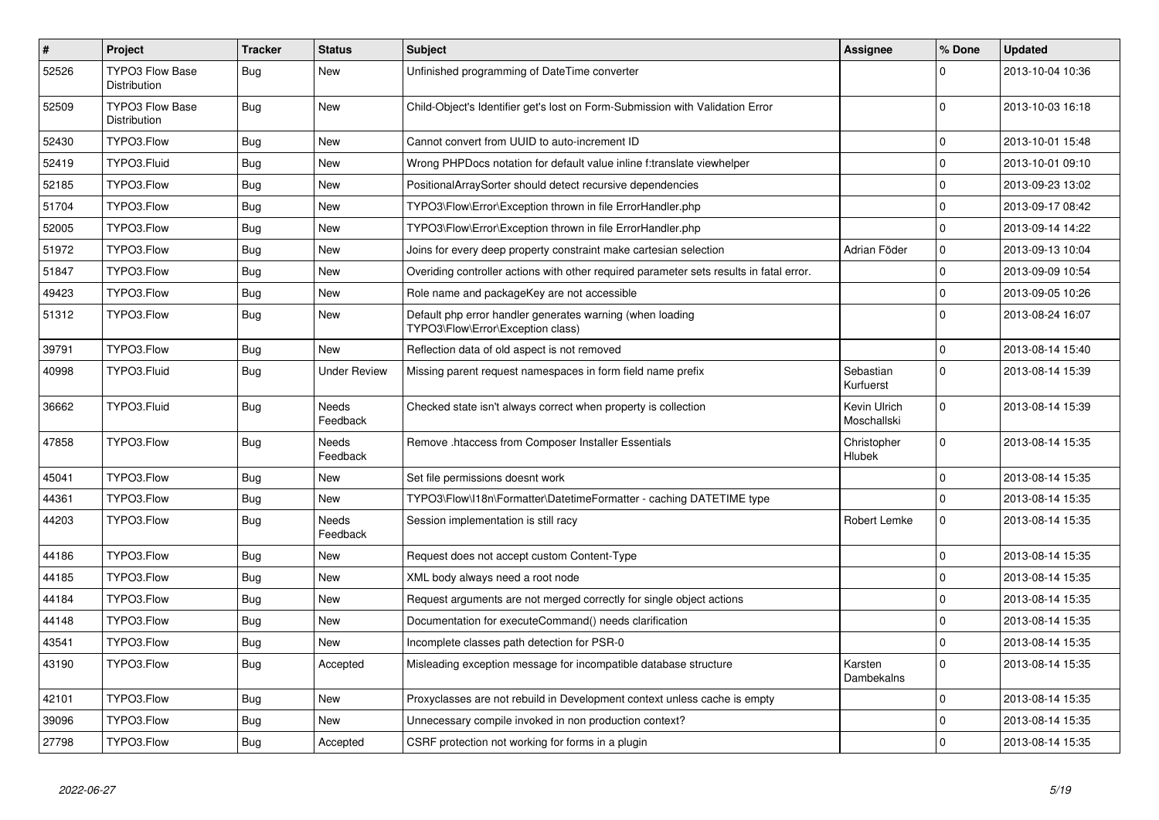| $\vert$ # | Project                                | <b>Tracker</b> | <b>Status</b>            | <b>Subject</b>                                                                                 | Assignee                    | % Done       | <b>Updated</b>   |
|-----------|----------------------------------------|----------------|--------------------------|------------------------------------------------------------------------------------------------|-----------------------------|--------------|------------------|
| 52526     | <b>TYPO3 Flow Base</b><br>Distribution | Bug            | New                      | Unfinished programming of DateTime converter                                                   |                             | $\Omega$     | 2013-10-04 10:36 |
| 52509     | TYPO3 Flow Base<br>Distribution        | <b>Bug</b>     | <b>New</b>               | Child-Object's Identifier get's lost on Form-Submission with Validation Error                  |                             | $\Omega$     | 2013-10-03 16:18 |
| 52430     | TYPO3.Flow                             | Bug            | <b>New</b>               | Cannot convert from UUID to auto-increment ID                                                  |                             | $\mathbf{0}$ | 2013-10-01 15:48 |
| 52419     | TYPO3.Fluid                            | Bug            | New                      | Wrong PHPDocs notation for default value inline f:translate viewhelper                         |                             | $\pmb{0}$    | 2013-10-01 09:10 |
| 52185     | TYPO3.Flow                             | <b>Bug</b>     | New                      | PositionalArraySorter should detect recursive dependencies                                     |                             | $\mathbf{0}$ | 2013-09-23 13:02 |
| 51704     | TYPO3.Flow                             | <b>Bug</b>     | New                      | TYPO3\Flow\Error\Exception thrown in file ErrorHandler.php                                     |                             | $\Omega$     | 2013-09-17 08:42 |
| 52005     | TYPO3.Flow                             | <b>Bug</b>     | <b>New</b>               | TYPO3\Flow\Error\Exception thrown in file ErrorHandler.php                                     |                             | $\mathbf{0}$ | 2013-09-14 14:22 |
| 51972     | TYPO3.Flow                             | <b>Bug</b>     | New                      | Joins for every deep property constraint make cartesian selection                              | Adrian Föder                | $\pmb{0}$    | 2013-09-13 10:04 |
| 51847     | TYPO3.Flow                             | <b>Bug</b>     | New                      | Overiding controller actions with other required parameter sets results in fatal error.        |                             | $\pmb{0}$    | 2013-09-09 10:54 |
| 49423     | TYPO3.Flow                             | Bug            | <b>New</b>               | Role name and packageKey are not accessible                                                    |                             | $\mathbf 0$  | 2013-09-05 10:26 |
| 51312     | TYPO3.Flow                             | <b>Bug</b>     | <b>New</b>               | Default php error handler generates warning (when loading<br>TYPO3\Flow\Error\Exception class) |                             | $\mathbf 0$  | 2013-08-24 16:07 |
| 39791     | TYPO3.Flow                             | Bug            | <b>New</b>               | Reflection data of old aspect is not removed                                                   |                             | $\mathbf 0$  | 2013-08-14 15:40 |
| 40998     | TYPO3.Fluid                            | <b>Bug</b>     | <b>Under Review</b>      | Missing parent request namespaces in form field name prefix                                    | Sebastian<br>Kurfuerst      | $\mathbf 0$  | 2013-08-14 15:39 |
| 36662     | TYPO3.Fluid                            | Bug            | <b>Needs</b><br>Feedback | Checked state isn't always correct when property is collection                                 | Kevin Ulrich<br>Moschallski | $\mathbf 0$  | 2013-08-14 15:39 |
| 47858     | TYPO3.Flow                             | <b>Bug</b>     | Needs<br>Feedback        | Remove .htaccess from Composer Installer Essentials                                            | Christopher<br>Hlubek       | $\mathbf{0}$ | 2013-08-14 15:35 |
| 45041     | TYPO3.Flow                             | Bug            | New                      | Set file permissions doesnt work                                                               |                             | $\pmb{0}$    | 2013-08-14 15:35 |
| 44361     | TYPO3.Flow                             | <b>Bug</b>     | New                      | TYPO3\Flow\I18n\Formatter\DatetimeFormatter - caching DATETIME type                            |                             | $\mathbf 0$  | 2013-08-14 15:35 |
| 44203     | TYPO3.Flow                             | Bug            | Needs<br>Feedback        | Session implementation is still racy                                                           | Robert Lemke                | $\mathbf 0$  | 2013-08-14 15:35 |
| 44186     | TYPO3.Flow                             | <b>Bug</b>     | <b>New</b>               | Request does not accept custom Content-Type                                                    |                             | $\Omega$     | 2013-08-14 15:35 |
| 44185     | TYPO3.Flow                             | Bug            | <b>New</b>               | XML body always need a root node                                                               |                             | $\mathbf 0$  | 2013-08-14 15:35 |
| 44184     | TYPO3.Flow                             | Bug            | <b>New</b>               | Request arguments are not merged correctly for single object actions                           |                             | $\pmb{0}$    | 2013-08-14 15:35 |
| 44148     | TYPO3.Flow                             | <b>Bug</b>     | <b>New</b>               | Documentation for executeCommand() needs clarification                                         |                             | $\mathbf 0$  | 2013-08-14 15:35 |
| 43541     | TYPO3.Flow                             | Bug            | New                      | Incomplete classes path detection for PSR-0                                                    |                             | $\pmb{0}$    | 2013-08-14 15:35 |
| 43190     | TYPO3.Flow                             | Bug            | Accepted                 | Misleading exception message for incompatible database structure                               | Karsten<br>Dambekalns       | $\mathbf 0$  | 2013-08-14 15:35 |
| 42101     | TYPO3.Flow                             | <b>Bug</b>     | <b>New</b>               | Proxyclasses are not rebuild in Development context unless cache is empty                      |                             | $\mathbf 0$  | 2013-08-14 15:35 |
| 39096     | TYPO3.Flow                             | <b>Bug</b>     | New                      | Unnecessary compile invoked in non production context?                                         |                             | $\mathbf 0$  | 2013-08-14 15:35 |
| 27798     | TYPO3.Flow                             | <b>Bug</b>     | Accepted                 | CSRF protection not working for forms in a plugin                                              |                             | $\Omega$     | 2013-08-14 15:35 |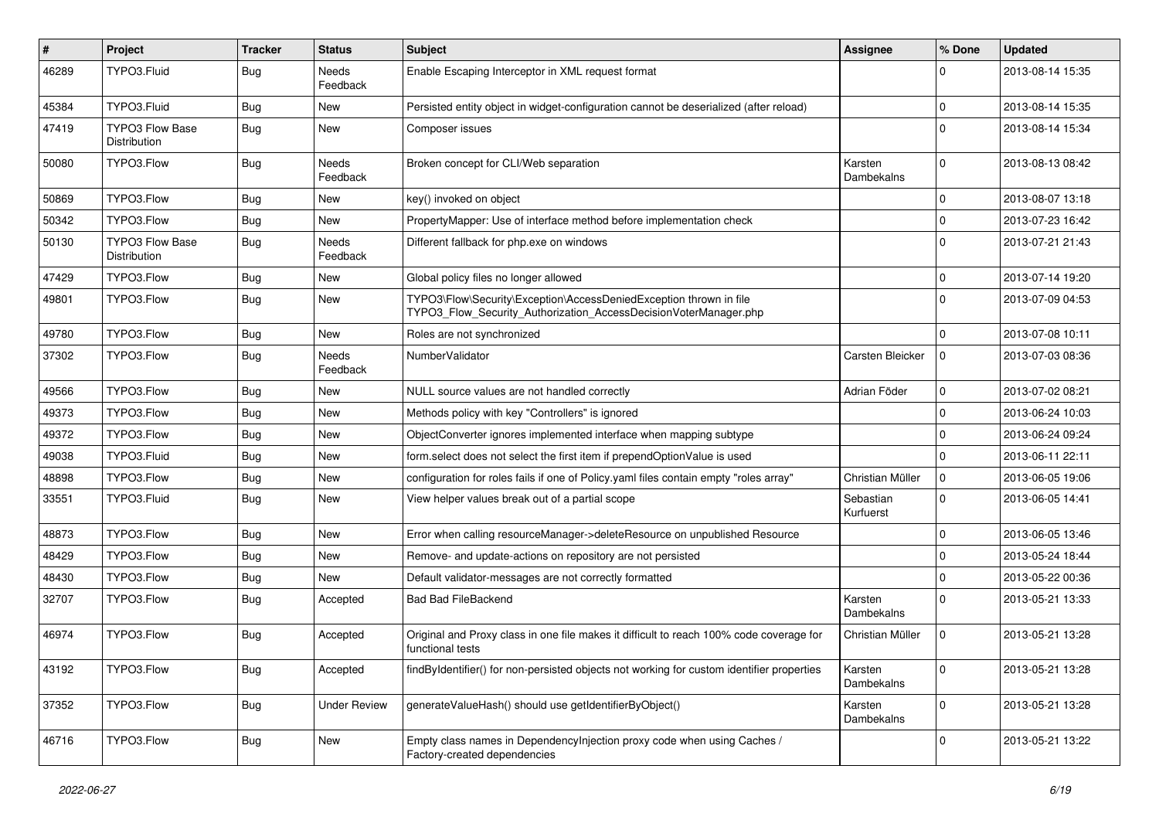| $\vert$ # | Project                                | <b>Tracker</b> | <b>Status</b>            | <b>Subject</b>                                                                                                                         | Assignee               | % Done      | <b>Updated</b>   |
|-----------|----------------------------------------|----------------|--------------------------|----------------------------------------------------------------------------------------------------------------------------------------|------------------------|-------------|------------------|
| 46289     | TYPO3.Fluid                            | Bug            | Needs<br>Feedback        | Enable Escaping Interceptor in XML request format                                                                                      |                        | 0           | 2013-08-14 15:35 |
| 45384     | TYPO3.Fluid                            | Bug            | New                      | Persisted entity object in widget-configuration cannot be deserialized (after reload)                                                  |                        | $\mathbf 0$ | 2013-08-14 15:35 |
| 47419     | <b>TYPO3 Flow Base</b><br>Distribution | Bug            | New                      | Composer issues                                                                                                                        |                        | $\Omega$    | 2013-08-14 15:34 |
| 50080     | TYPO3.Flow                             | <b>Bug</b>     | Needs<br>Feedback        | Broken concept for CLI/Web separation                                                                                                  | Karsten<br>Dambekalns  | $\mathbf 0$ | 2013-08-13 08:42 |
| 50869     | TYPO3.Flow                             | Bug            | New                      | key() invoked on object                                                                                                                |                        | $\mathbf 0$ | 2013-08-07 13:18 |
| 50342     | TYPO3.Flow                             | Bug            | New                      | PropertyMapper: Use of interface method before implementation check                                                                    |                        | $\mathbf 0$ | 2013-07-23 16:42 |
| 50130     | <b>TYPO3 Flow Base</b><br>Distribution | Bug            | <b>Needs</b><br>Feedback | Different fallback for php.exe on windows                                                                                              |                        | $\Omega$    | 2013-07-21 21:43 |
| 47429     | TYPO3.Flow                             | Bug            | New                      | Global policy files no longer allowed                                                                                                  |                        | 0           | 2013-07-14 19:20 |
| 49801     | TYPO3.Flow                             | <b>Bug</b>     | <b>New</b>               | TYPO3\Flow\Security\Exception\AccessDeniedException thrown in file<br>TYPO3_Flow_Security_Authorization_AccessDecisionVoterManager.php |                        | $\Omega$    | 2013-07-09 04:53 |
| 49780     | TYPO3.Flow                             | Bug            | New                      | Roles are not synchronized                                                                                                             |                        | $\Omega$    | 2013-07-08 10:11 |
| 37302     | TYPO3.Flow                             | <b>Bug</b>     | Needs<br>Feedback        | NumberValidator                                                                                                                        | Carsten Bleicker       | 0           | 2013-07-03 08:36 |
| 49566     | TYPO3.Flow                             | <b>Bug</b>     | New                      | NULL source values are not handled correctly                                                                                           | Adrian Föder           | $\mathbf 0$ | 2013-07-02 08:21 |
| 49373     | TYPO3.Flow                             | Bug            | New                      | Methods policy with key "Controllers" is ignored                                                                                       |                        | $\mathbf 0$ | 2013-06-24 10:03 |
| 49372     | TYPO3.Flow                             | Bug            | New                      | ObjectConverter ignores implemented interface when mapping subtype                                                                     |                        | $\mathbf 0$ | 2013-06-24 09:24 |
| 49038     | TYPO3.Fluid                            | <b>Bug</b>     | <b>New</b>               | form.select does not select the first item if prependOptionValue is used                                                               |                        | 0           | 2013-06-11 22:11 |
| 48898     | TYPO3.Flow                             | <b>Bug</b>     | New                      | configuration for roles fails if one of Policy.yaml files contain empty "roles array"                                                  | Christian Müller       | 0           | 2013-06-05 19:06 |
| 33551     | TYPO3.Fluid                            | <b>Bug</b>     | New                      | View helper values break out of a partial scope                                                                                        | Sebastian<br>Kurfuerst | $\mathbf 0$ | 2013-06-05 14:41 |
| 48873     | TYPO3.Flow                             | <b>Bug</b>     | <b>New</b>               | Error when calling resourceManager->deleteResource on unpublished Resource                                                             |                        | 0           | 2013-06-05 13:46 |
| 48429     | TYPO3.Flow                             | <b>Bug</b>     | New                      | Remove- and update-actions on repository are not persisted                                                                             |                        | $\mathbf 0$ | 2013-05-24 18:44 |
| 48430     | TYPO3.Flow                             | Bug            | New                      | Default validator-messages are not correctly formatted                                                                                 |                        | $\Omega$    | 2013-05-22 00:36 |
| 32707     | TYPO3.Flow                             | <b>Bug</b>     | Accepted                 | <b>Bad Bad FileBackend</b>                                                                                                             | Karsten<br>Dambekalns  | $\mathbf 0$ | 2013-05-21 13:33 |
| 46974     | TYPO3.Flow                             | <b>Bug</b>     | Accepted                 | Original and Proxy class in one file makes it difficult to reach 100% code coverage for<br>functional tests                            | Christian Müller       | 0           | 2013-05-21 13:28 |
| 43192     | TYPO3.Flow                             | Bug            | Accepted                 | findByIdentifier() for non-persisted objects not working for custom identifier properties                                              | Karsten<br>Dambekalns  | $\mathbf 0$ | 2013-05-21 13:28 |
| 37352     | TYPO3.Flow                             | <b>Bug</b>     | <b>Under Review</b>      | generateValueHash() should use getIdentifierByObject()                                                                                 | Karsten<br>Dambekalns  | $\mathbf 0$ | 2013-05-21 13:28 |
| 46716     | TYPO3.Flow                             | Bug            | New                      | Empty class names in Dependencylnjection proxy code when using Caches /<br>Factory-created dependencies                                |                        | 0           | 2013-05-21 13:22 |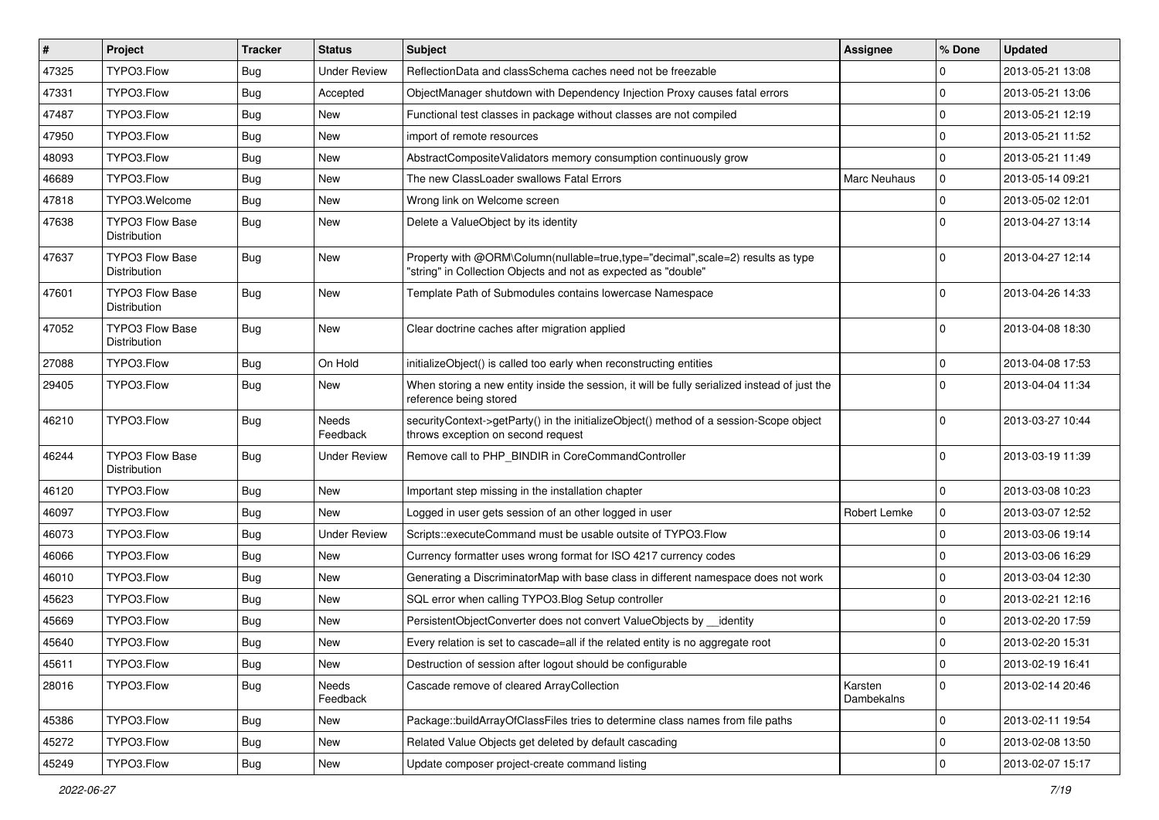| $\vert$ # | Project                                | <b>Tracker</b> | <b>Status</b>       | Subject                                                                                                                                           | <b>Assignee</b>       | % Done       | <b>Updated</b>   |
|-----------|----------------------------------------|----------------|---------------------|---------------------------------------------------------------------------------------------------------------------------------------------------|-----------------------|--------------|------------------|
| 47325     | TYPO3.Flow                             | <b>Bug</b>     | <b>Under Review</b> | ReflectionData and classSchema caches need not be freezable                                                                                       |                       | 0            | 2013-05-21 13:08 |
| 47331     | TYPO3.Flow                             | <b>Bug</b>     | Accepted            | ObjectManager shutdown with Dependency Injection Proxy causes fatal errors                                                                        |                       | $\mathbf 0$  | 2013-05-21 13:06 |
| 47487     | TYPO3.Flow                             | <b>Bug</b>     | New                 | Functional test classes in package without classes are not compiled                                                                               |                       | 0            | 2013-05-21 12:19 |
| 47950     | TYPO3.Flow                             | <b>Bug</b>     | <b>New</b>          | import of remote resources                                                                                                                        |                       | $\mathbf 0$  | 2013-05-21 11:52 |
| 48093     | TYPO3.Flow                             | <b>Bug</b>     | <b>New</b>          | AbstractCompositeValidators memory consumption continuously grow                                                                                  |                       | 0            | 2013-05-21 11:49 |
| 46689     | TYPO3.Flow                             | <b>Bug</b>     | New                 | The new ClassLoader swallows Fatal Errors                                                                                                         | Marc Neuhaus          | $\pmb{0}$    | 2013-05-14 09:21 |
| 47818     | TYPO3.Welcome                          | <b>Bug</b>     | <b>New</b>          | Wrong link on Welcome screen                                                                                                                      |                       | $\pmb{0}$    | 2013-05-02 12:01 |
| 47638     | <b>TYPO3 Flow Base</b><br>Distribution | Bug            | <b>New</b>          | Delete a ValueObject by its identity                                                                                                              |                       | $\mathbf 0$  | 2013-04-27 13:14 |
| 47637     | <b>TYPO3 Flow Base</b><br>Distribution | <b>Bug</b>     | <b>New</b>          | Property with @ORM\Column(nullable=true,type="decimal",scale=2) results as type<br>"string" in Collection Objects and not as expected as "double" |                       | $\mathbf{0}$ | 2013-04-27 12:14 |
| 47601     | <b>TYPO3 Flow Base</b><br>Distribution | <b>Bug</b>     | <b>New</b>          | Template Path of Submodules contains lowercase Namespace                                                                                          |                       | $\Omega$     | 2013-04-26 14:33 |
| 47052     | TYPO3 Flow Base<br>Distribution        | <b>Bug</b>     | <b>New</b>          | Clear doctrine caches after migration applied                                                                                                     |                       | $\Omega$     | 2013-04-08 18:30 |
| 27088     | TYPO3.Flow                             | <b>Bug</b>     | On Hold             | initializeObject() is called too early when reconstructing entities                                                                               |                       | 0            | 2013-04-08 17:53 |
| 29405     | TYPO3.Flow                             | <b>Bug</b>     | <b>New</b>          | When storing a new entity inside the session, it will be fully serialized instead of just the<br>reference being stored                           |                       | $\mathbf 0$  | 2013-04-04 11:34 |
| 46210     | TYPO3.Flow                             | <b>Bug</b>     | Needs<br>Feedback   | securityContext->getParty() in the initializeObject() method of a session-Scope object<br>throws exception on second request                      |                       | $\mathbf 0$  | 2013-03-27 10:44 |
| 46244     | <b>TYPO3 Flow Base</b><br>Distribution | <b>Bug</b>     | <b>Under Review</b> | Remove call to PHP_BINDIR in CoreCommandController                                                                                                |                       | $\mathbf{0}$ | 2013-03-19 11:39 |
| 46120     | TYPO3.Flow                             | <b>Bug</b>     | <b>New</b>          | Important step missing in the installation chapter                                                                                                |                       | $\mathbf 0$  | 2013-03-08 10:23 |
| 46097     | TYPO3.Flow                             | <b>Bug</b>     | <b>New</b>          | Logged in user gets session of an other logged in user                                                                                            | Robert Lemke          | 0            | 2013-03-07 12:52 |
| 46073     | TYPO3.Flow                             | <b>Bug</b>     | <b>Under Review</b> | Scripts::executeCommand must be usable outsite of TYPO3.Flow                                                                                      |                       | $\pmb{0}$    | 2013-03-06 19:14 |
| 46066     | TYPO3.Flow                             | <b>Bug</b>     | <b>New</b>          | Currency formatter uses wrong format for ISO 4217 currency codes                                                                                  |                       | $\mathbf 0$  | 2013-03-06 16:29 |
| 46010     | TYPO3.Flow                             | <b>Bug</b>     | <b>New</b>          | Generating a DiscriminatorMap with base class in different namespace does not work                                                                |                       | $\mathbf{0}$ | 2013-03-04 12:30 |
| 45623     | TYPO3.Flow                             | <b>Bug</b>     | <b>New</b>          | SQL error when calling TYPO3. Blog Setup controller                                                                                               |                       | 0            | 2013-02-21 12:16 |
| 45669     | TYPO3.Flow                             | <b>Bug</b>     | <b>New</b>          | PersistentObjectConverter does not convert ValueObjects by identity                                                                               |                       | 0            | 2013-02-20 17:59 |
| 45640     | TYPO3.Flow                             | <b>Bug</b>     | New                 | Every relation is set to cascade=all if the related entity is no aggregate root                                                                   |                       | $\mathbf 0$  | 2013-02-20 15:31 |
| 45611     | TYPO3.Flow                             | <b>Bug</b>     | New                 | Destruction of session after logout should be configurable                                                                                        |                       | $\pmb{0}$    | 2013-02-19 16:41 |
| 28016     | TYPO3.Flow                             | <b>Bug</b>     | Needs<br>Feedback   | Cascade remove of cleared ArrayCollection                                                                                                         | Karsten<br>Dambekalns | $\mathbf{0}$ | 2013-02-14 20:46 |
| 45386     | TYPO3.Flow                             | <b>Bug</b>     | New                 | Package::buildArrayOfClassFiles tries to determine class names from file paths                                                                    |                       | 0            | 2013-02-11 19:54 |
| 45272     | TYPO3.Flow                             | <b>Bug</b>     | New                 | Related Value Objects get deleted by default cascading                                                                                            |                       | 0            | 2013-02-08 13:50 |
| 45249     | TYPO3.Flow                             | Bug            | New                 | Update composer project-create command listing                                                                                                    |                       | $\pmb{0}$    | 2013-02-07 15:17 |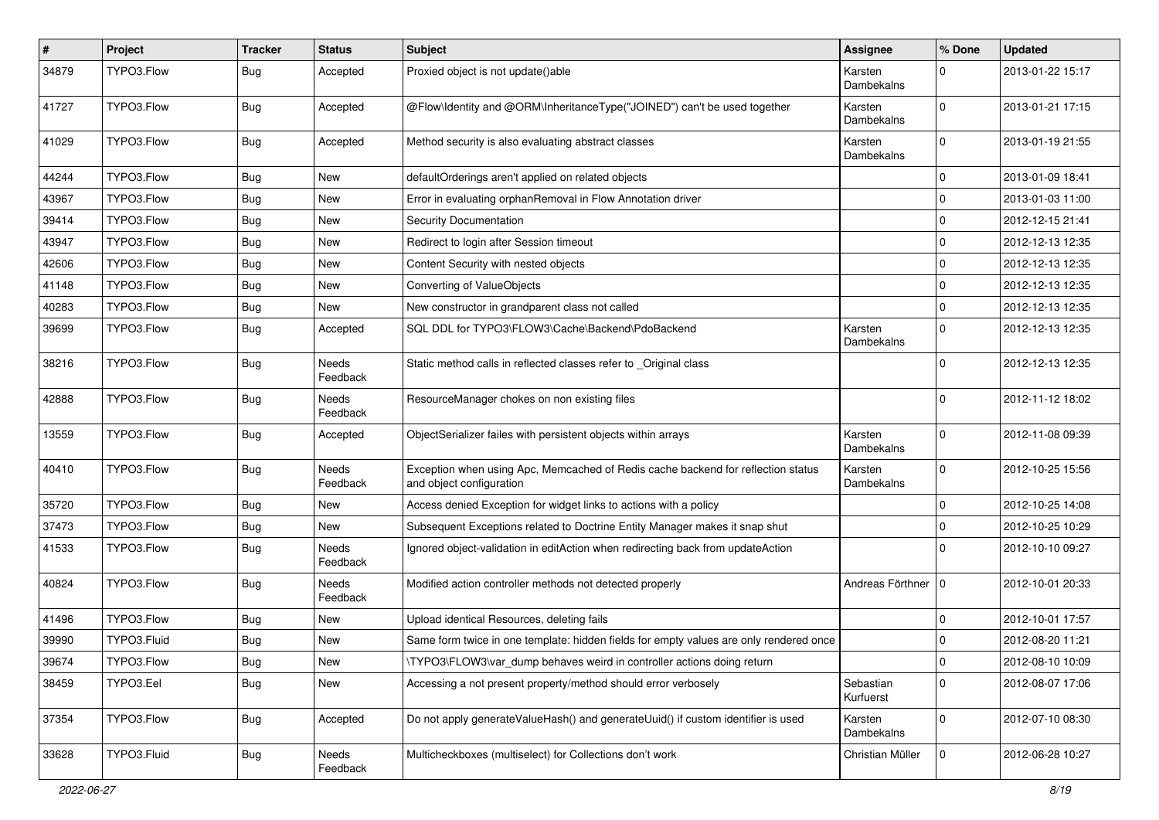| #     | Project     | <b>Tracker</b> | <b>Status</b>            | <b>Subject</b>                                                                                               | Assignee               | % Done       | <b>Updated</b>   |
|-------|-------------|----------------|--------------------------|--------------------------------------------------------------------------------------------------------------|------------------------|--------------|------------------|
| 34879 | TYPO3.Flow  | <b>Bug</b>     | Accepted                 | Proxied object is not update()able                                                                           | Karsten<br>Dambekalns  | $\Omega$     | 2013-01-22 15:17 |
| 41727 | TYPO3.Flow  | <b>Bug</b>     | Accepted                 | @Flow\Identity and @ORM\InheritanceType("JOINED") can't be used together                                     | Karsten<br>Dambekalns  | $\mathbf 0$  | 2013-01-21 17:15 |
| 41029 | TYPO3.Flow  | <b>Bug</b>     | Accepted                 | Method security is also evaluating abstract classes                                                          | Karsten<br>Dambekalns  | $\mathbf 0$  | 2013-01-19 21:55 |
| 44244 | TYPO3.Flow  | <b>Bug</b>     | <b>New</b>               | defaultOrderings aren't applied on related objects                                                           |                        | $\mathbf 0$  | 2013-01-09 18:41 |
| 43967 | TYPO3.Flow  | <b>Bug</b>     | New                      | Error in evaluating orphanRemoval in Flow Annotation driver                                                  |                        | $\mathbf 0$  | 2013-01-03 11:00 |
| 39414 | TYPO3.Flow  | <b>Bug</b>     | <b>New</b>               | Security Documentation                                                                                       |                        | $\mathbf{0}$ | 2012-12-15 21:41 |
| 43947 | TYPO3.Flow  | <b>Bug</b>     | <b>New</b>               | Redirect to login after Session timeout                                                                      |                        | $\mathbf 0$  | 2012-12-13 12:35 |
| 42606 | TYPO3.Flow  | <b>Bug</b>     | New                      | Content Security with nested objects                                                                         |                        | $\mathbf 0$  | 2012-12-13 12:35 |
| 41148 | TYPO3.Flow  | Bug            | New                      | Converting of ValueObjects                                                                                   |                        | $\mathbf 0$  | 2012-12-13 12:35 |
| 40283 | TYPO3.Flow  | <b>Bug</b>     | <b>New</b>               | New constructor in grandparent class not called                                                              |                        | $\mathbf 0$  | 2012-12-13 12:35 |
| 39699 | TYPO3.Flow  | Bug            | Accepted                 | SQL DDL for TYPO3\FLOW3\Cache\Backend\PdoBackend                                                             | Karsten<br>Dambekalns  | $\mathbf 0$  | 2012-12-13 12:35 |
| 38216 | TYPO3.Flow  | Bug            | Needs<br>Feedback        | Static method calls in reflected classes refer to _Original class                                            |                        | $\Omega$     | 2012-12-13 12:35 |
| 42888 | TYPO3.Flow  | <b>Bug</b>     | Needs<br>Feedback        | ResourceManager chokes on non existing files                                                                 |                        | 0            | 2012-11-12 18:02 |
| 13559 | TYPO3.Flow  | <b>Bug</b>     | Accepted                 | ObjectSerializer failes with persistent objects within arrays                                                | Karsten<br>Dambekalns  | $\mathbf 0$  | 2012-11-08 09:39 |
| 40410 | TYPO3.Flow  | <b>Bug</b>     | Needs<br>Feedback        | Exception when using Apc, Memcached of Redis cache backend for reflection status<br>and object configuration | Karsten<br>Dambekalns  | $\mathbf 0$  | 2012-10-25 15:56 |
| 35720 | TYPO3.Flow  | Bug            | <b>New</b>               | Access denied Exception for widget links to actions with a policy                                            |                        | 0            | 2012-10-25 14:08 |
| 37473 | TYPO3.Flow  | <b>Bug</b>     | <b>New</b>               | Subsequent Exceptions related to Doctrine Entity Manager makes it snap shut                                  |                        | $\mathbf 0$  | 2012-10-25 10:29 |
| 41533 | TYPO3.Flow  | <b>Bug</b>     | <b>Needs</b><br>Feedback | Ignored object-validation in editAction when redirecting back from updateAction                              |                        | $\Omega$     | 2012-10-10 09:27 |
| 40824 | TYPO3.Flow  | Bug            | Needs<br>Feedback        | Modified action controller methods not detected properly                                                     | Andreas Förthner       | $\mathbf{0}$ | 2012-10-01 20:33 |
| 41496 | TYPO3.Flow  | <b>Bug</b>     | New                      | Upload identical Resources, deleting fails                                                                   |                        | 0            | 2012-10-01 17:57 |
| 39990 | TYPO3.Fluid | <b>Bug</b>     | New                      | Same form twice in one template: hidden fields for empty values are only rendered once                       |                        | $\mathbf{0}$ | 2012-08-20 11:21 |
| 39674 | TYPO3.Flow  | <b>Bug</b>     | New                      | TYPO3\FLOW3\var dump behaves weird in controller actions doing return                                        |                        | 0            | 2012-08-10 10:09 |
| 38459 | TYPO3.Eel   | Bug            | New                      | Accessing a not present property/method should error verbosely                                               | Sebastian<br>Kurfuerst | $\mathbf 0$  | 2012-08-07 17:06 |
| 37354 | TYPO3.Flow  | <b>Bug</b>     | Accepted                 | Do not apply generateValueHash() and generateUuid() if custom identifier is used                             | Karsten<br>Dambekalns  | 0            | 2012-07-10 08:30 |
| 33628 | TYPO3.Fluid | <b>Bug</b>     | Needs<br>Feedback        | Multicheckboxes (multiselect) for Collections don't work                                                     | Christian Müller       | $\mathbf 0$  | 2012-06-28 10:27 |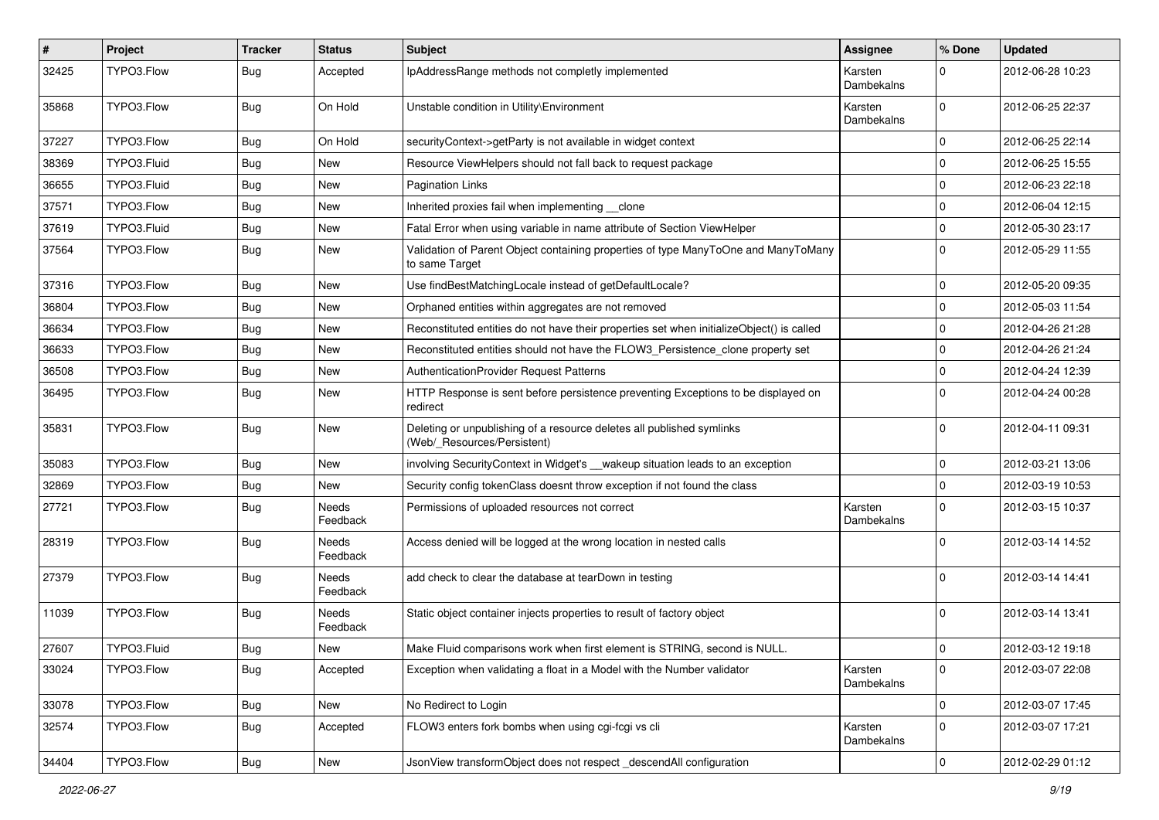| ∦     | Project     | <b>Tracker</b> | <b>Status</b>            | <b>Subject</b>                                                                                       | <b>Assignee</b>       | % Done         | <b>Updated</b>   |
|-------|-------------|----------------|--------------------------|------------------------------------------------------------------------------------------------------|-----------------------|----------------|------------------|
| 32425 | TYPO3.Flow  | <b>Bug</b>     | Accepted                 | IpAddressRange methods not completly implemented                                                     | Karsten<br>Dambekalns | $\Omega$       | 2012-06-28 10:23 |
| 35868 | TYPO3.Flow  | <b>Bug</b>     | On Hold                  | Unstable condition in Utility\Environment                                                            | Karsten<br>Dambekalns | $\Omega$       | 2012-06-25 22:37 |
| 37227 | TYPO3.Flow  | <b>Bug</b>     | On Hold                  | securityContext->getParty is not available in widget context                                         |                       | $\mathbf 0$    | 2012-06-25 22:14 |
| 38369 | TYPO3.Fluid | <b>Bug</b>     | New                      | Resource ViewHelpers should not fall back to request package                                         |                       | $\mathbf 0$    | 2012-06-25 15:55 |
| 36655 | TYPO3.Fluid | <b>Bug</b>     | <b>New</b>               | <b>Pagination Links</b>                                                                              |                       | $\Omega$       | 2012-06-23 22:18 |
| 37571 | TYPO3.Flow  | Bug            | New                      | Inherited proxies fail when implementing clone                                                       |                       | $\mathbf 0$    | 2012-06-04 12:15 |
| 37619 | TYPO3.Fluid | <b>Bug</b>     | New                      | Fatal Error when using variable in name attribute of Section ViewHelper                              |                       | $\mathbf 0$    | 2012-05-30 23:17 |
| 37564 | TYPO3.Flow  | <b>Bug</b>     | <b>New</b>               | Validation of Parent Object containing properties of type ManyToOne and ManyToMany<br>to same Target |                       | $\Omega$       | 2012-05-29 11:55 |
| 37316 | TYPO3.Flow  | <b>Bug</b>     | New                      | Use findBestMatchingLocale instead of getDefaultLocale?                                              |                       | $\Omega$       | 2012-05-20 09:35 |
| 36804 | TYPO3.Flow  | <b>Bug</b>     | <b>New</b>               | Orphaned entities within aggregates are not removed                                                  |                       | $\Omega$       | 2012-05-03 11:54 |
| 36634 | TYPO3.Flow  | <b>Bug</b>     | New                      | Reconstituted entities do not have their properties set when initializeObject() is called            |                       | $\Omega$       | 2012-04-26 21:28 |
| 36633 | TYPO3.Flow  | <b>Bug</b>     | <b>New</b>               | Reconstituted entities should not have the FLOW3_Persistence_clone property set                      |                       | $\Omega$       | 2012-04-26 21:24 |
| 36508 | TYPO3.Flow  | Bug            | New                      | AuthenticationProvider Request Patterns                                                              |                       | $\Omega$       | 2012-04-24 12:39 |
| 36495 | TYPO3.Flow  | Bug            | New                      | HTTP Response is sent before persistence preventing Exceptions to be displayed on<br>redirect        |                       | $\Omega$       | 2012-04-24 00:28 |
| 35831 | TYPO3.Flow  | <b>Bug</b>     | <b>New</b>               | Deleting or unpublishing of a resource deletes all published symlinks<br>(Web/_Resources/Persistent) |                       | $\Omega$       | 2012-04-11 09:31 |
| 35083 | TYPO3.Flow  | <b>Bug</b>     | <b>New</b>               | involving SecurityContext in Widget's __wakeup situation leads to an exception                       |                       | $\mathbf 0$    | 2012-03-21 13:06 |
| 32869 | TYPO3.Flow  | <b>Bug</b>     | New                      | Security config tokenClass doesnt throw exception if not found the class                             |                       | $\Omega$       | 2012-03-19 10:53 |
| 27721 | TYPO3.Flow  | <b>Bug</b>     | <b>Needs</b><br>Feedback | Permissions of uploaded resources not correct                                                        | Karsten<br>Dambekalns | $\Omega$       | 2012-03-15 10:37 |
| 28319 | TYPO3.Flow  | <b>Bug</b>     | <b>Needs</b><br>Feedback | Access denied will be logged at the wrong location in nested calls                                   |                       | $\Omega$       | 2012-03-14 14:52 |
| 27379 | TYPO3.Flow  | <b>Bug</b>     | Needs<br>Feedback        | add check to clear the database at tearDown in testing                                               |                       | $\Omega$       | 2012-03-14 14:41 |
| 11039 | TYPO3.Flow  | <b>Bug</b>     | Needs<br>Feedback        | Static object container injects properties to result of factory object                               |                       | $\Omega$       | 2012-03-14 13:41 |
| 27607 | TYPO3.Fluid | <b>Bug</b>     | New                      | Make Fluid comparisons work when first element is STRING, second is NULL.                            |                       | 0              | 2012-03-12 19:18 |
| 33024 | TYPO3.Flow  | <b>Bug</b>     | Accepted                 | Exception when validating a float in a Model with the Number validator                               | Karsten<br>Dambekalns | $\overline{0}$ | 2012-03-07 22:08 |
| 33078 | TYPO3.Flow  | <b>Bug</b>     | New                      | No Redirect to Login                                                                                 |                       | $\mathbf 0$    | 2012-03-07 17:45 |
| 32574 | TYPO3.Flow  | Bug            | Accepted                 | FLOW3 enters fork bombs when using cgi-fcgi vs cli                                                   | Karsten<br>Dambekalns | $\mathbf{0}$   | 2012-03-07 17:21 |
| 34404 | TYPO3.Flow  | <b>Bug</b>     | New                      | JsonView transformObject does not respect_descendAll configuration                                   |                       | $\mathbf 0$    | 2012-02-29 01:12 |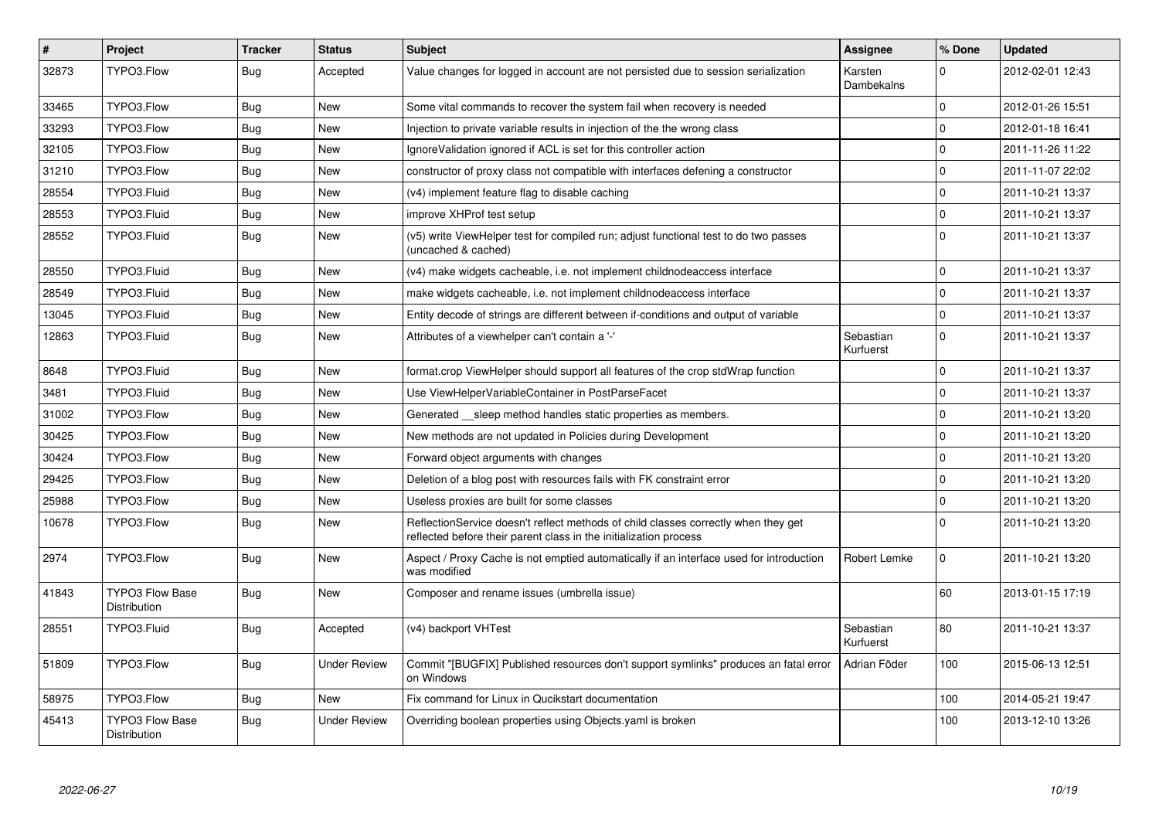| $\vert$ # | <b>Project</b>                                | <b>Tracker</b> | <b>Status</b>       | <b>Subject</b>                                                                                                                                          | Assignee               | % Done       | <b>Updated</b>   |
|-----------|-----------------------------------------------|----------------|---------------------|---------------------------------------------------------------------------------------------------------------------------------------------------------|------------------------|--------------|------------------|
| 32873     | TYPO3.Flow                                    | <b>Bug</b>     | Accepted            | Value changes for logged in account are not persisted due to session serialization                                                                      | Karsten<br>Dambekalns  | <sup>0</sup> | 2012-02-01 12:43 |
| 33465     | TYPO3.Flow                                    | <b>Bug</b>     | <b>New</b>          | Some vital commands to recover the system fail when recovery is needed                                                                                  |                        | $\Omega$     | 2012-01-26 15:51 |
| 33293     | TYPO3.Flow                                    | <b>Bug</b>     | New                 | Injection to private variable results in injection of the the wrong class                                                                               |                        | $\Omega$     | 2012-01-18 16:41 |
| 32105     | TYPO3.Flow                                    | <b>Bug</b>     | New                 | Ignore Validation ignored if ACL is set for this controller action                                                                                      |                        | $\Omega$     | 2011-11-26 11:22 |
| 31210     | TYPO3.Flow                                    | <b>Bug</b>     | New                 | constructor of proxy class not compatible with interfaces defening a constructor                                                                        |                        | $\Omega$     | 2011-11-07 22:02 |
| 28554     | TYPO3.Fluid                                   | <b>Bug</b>     | New                 | (v4) implement feature flag to disable caching                                                                                                          |                        | $\Omega$     | 2011-10-21 13:37 |
| 28553     | TYPO3.Fluid                                   | Bug            | New                 | improve XHProf test setup                                                                                                                               |                        | $\Omega$     | 2011-10-21 13:37 |
| 28552     | TYPO3.Fluid                                   | <b>Bug</b>     | New                 | (v5) write ViewHelper test for compiled run; adjust functional test to do two passes<br>(uncached & cached)                                             |                        | $\Omega$     | 2011-10-21 13:37 |
| 28550     | TYPO3.Fluid                                   | <b>Bug</b>     | New                 | (v4) make widgets cacheable, i.e. not implement childnodeaccess interface                                                                               |                        | $\Omega$     | 2011-10-21 13:37 |
| 28549     | TYPO3.Fluid                                   | <b>Bug</b>     | New                 | make widgets cacheable, i.e. not implement childnodeaccess interface                                                                                    |                        | $\Omega$     | 2011-10-21 13:37 |
| 13045     | TYPO3.Fluid                                   | Bug            | New                 | Entity decode of strings are different between if-conditions and output of variable                                                                     |                        | $\mathbf 0$  | 2011-10-21 13:37 |
| 12863     | TYPO3.Fluid                                   | <b>Bug</b>     | <b>New</b>          | Attributes of a viewhelper can't contain a '-'                                                                                                          | Sebastian<br>Kurfuerst | $\Omega$     | 2011-10-21 13:37 |
| 8648      | TYPO3.Fluid                                   | Bug            | New                 | format.crop ViewHelper should support all features of the crop stdWrap function                                                                         |                        | $\Omega$     | 2011-10-21 13:37 |
| 3481      | TYPO3.Fluid                                   | Bug            | <b>New</b>          | Use ViewHelperVariableContainer in PostParseFacet                                                                                                       |                        | $\Omega$     | 2011-10-21 13:37 |
| 31002     | TYPO3.Flow                                    | <b>Bug</b>     | <b>New</b>          | Generated sleep method handles static properties as members.                                                                                            |                        | $\Omega$     | 2011-10-21 13:20 |
| 30425     | TYPO3.Flow                                    | <b>Bug</b>     | New                 | New methods are not updated in Policies during Development                                                                                              |                        | $\Omega$     | 2011-10-21 13:20 |
| 30424     | TYPO3.Flow                                    | <b>Bug</b>     | New                 | Forward object arguments with changes                                                                                                                   |                        | $\Omega$     | 2011-10-21 13:20 |
| 29425     | TYPO3.Flow                                    | <b>Bug</b>     | New                 | Deletion of a blog post with resources fails with FK constraint error                                                                                   |                        | $\Omega$     | 2011-10-21 13:20 |
| 25988     | TYPO3.Flow                                    | <b>Bug</b>     | New                 | Useless proxies are built for some classes                                                                                                              |                        | $\Omega$     | 2011-10-21 13:20 |
| 10678     | TYPO3.Flow                                    | <b>Bug</b>     | New                 | ReflectionService doesn't reflect methods of child classes correctly when they get<br>reflected before their parent class in the initialization process |                        | $\Omega$     | 2011-10-21 13:20 |
| 2974      | TYPO3.Flow                                    | <b>Bug</b>     | New                 | Aspect / Proxy Cache is not emptied automatically if an interface used for introduction<br>was modified                                                 | Robert Lemke           | $\Omega$     | 2011-10-21 13:20 |
| 41843     | <b>TYPO3 Flow Base</b><br><b>Distribution</b> | <b>Bug</b>     | <b>New</b>          | Composer and rename issues (umbrella issue)                                                                                                             |                        | 60           | 2013-01-15 17:19 |
| 28551     | TYPO3.Fluid                                   | <b>Bug</b>     | Accepted            | (v4) backport VHTest                                                                                                                                    | Sebastian<br>Kurfuerst | 80           | 2011-10-21 13:37 |
| 51809     | TYPO3.Flow                                    | Bug            | <b>Under Review</b> | Commit "[BUGFIX] Published resources don't support symlinks" produces an fatal error<br>on Windows                                                      | Adrian Föder           | 100          | 2015-06-13 12:51 |
| 58975     | TYPO3.Flow                                    | <b>Bug</b>     | <b>New</b>          | Fix command for Linux in Qucikstart documentation                                                                                                       |                        | 100          | 2014-05-21 19:47 |
| 45413     | TYPO3 Flow Base<br>Distribution               | <b>Bug</b>     | Under Review        | Overriding boolean properties using Objects yaml is broken                                                                                              |                        | 100          | 2013-12-10 13:26 |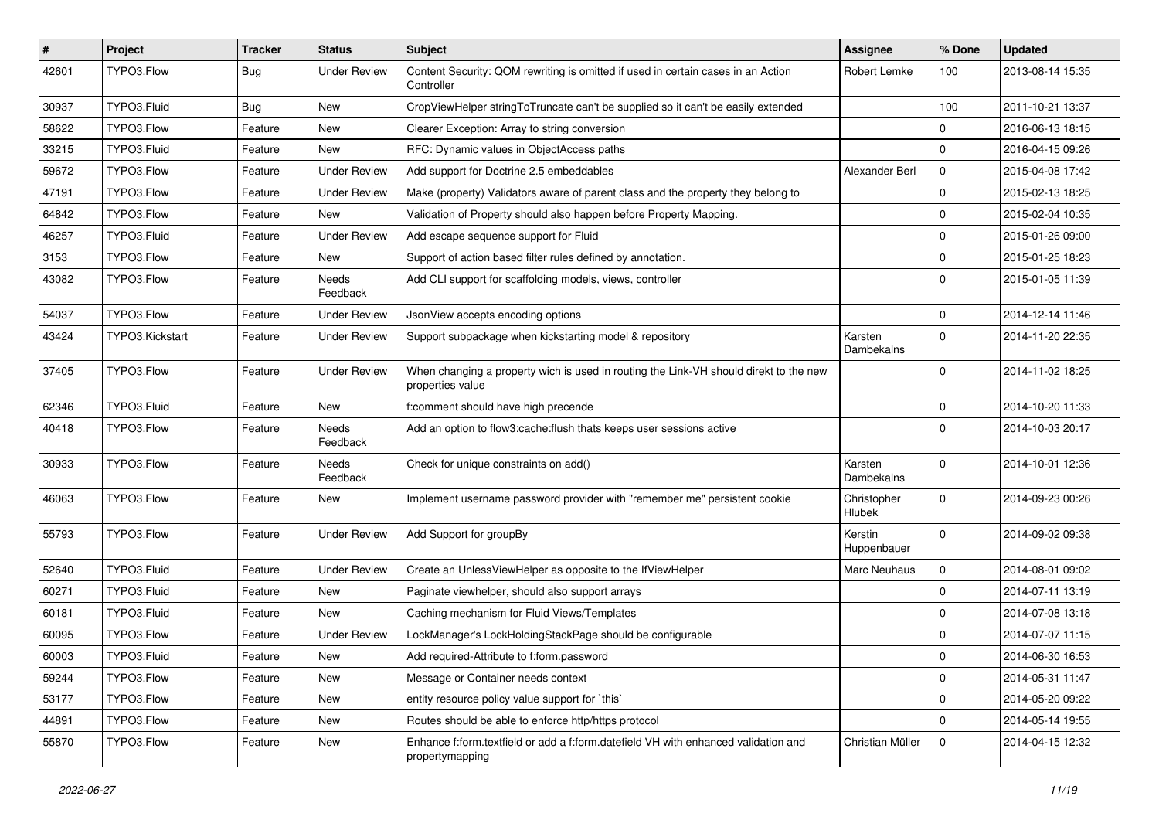| #     | Project         | <b>Tracker</b> | <b>Status</b>       | <b>Subject</b>                                                                                            | <b>Assignee</b>        | % Done         | <b>Updated</b>   |
|-------|-----------------|----------------|---------------------|-----------------------------------------------------------------------------------------------------------|------------------------|----------------|------------------|
| 42601 | TYPO3.Flow      | Bug            | Under Review        | Content Security: QOM rewriting is omitted if used in certain cases in an Action<br>Controller            | Robert Lemke           | 100            | 2013-08-14 15:35 |
| 30937 | TYPO3.Fluid     | Bug            | New                 | CropViewHelper stringToTruncate can't be supplied so it can't be easily extended                          |                        | 100            | 2011-10-21 13:37 |
| 58622 | TYPO3.Flow      | Feature        | New                 | Clearer Exception: Array to string conversion                                                             |                        | $\mathbf 0$    | 2016-06-13 18:15 |
| 33215 | TYPO3.Fluid     | Feature        | New                 | RFC: Dynamic values in ObjectAccess paths                                                                 |                        | $\Omega$       | 2016-04-15 09:26 |
| 59672 | TYPO3.Flow      | Feature        | <b>Under Review</b> | Add support for Doctrine 2.5 embeddables                                                                  | Alexander Berl         | $\mathbf{0}$   | 2015-04-08 17:42 |
| 47191 | TYPO3.Flow      | Feature        | <b>Under Review</b> | Make (property) Validators aware of parent class and the property they belong to                          |                        | $\mathbf{0}$   | 2015-02-13 18:25 |
| 64842 | TYPO3.Flow      | Feature        | New                 | Validation of Property should also happen before Property Mapping.                                        |                        | $\Omega$       | 2015-02-04 10:35 |
| 46257 | TYPO3.Fluid     | Feature        | <b>Under Review</b> | Add escape sequence support for Fluid                                                                     |                        | $\mathbf 0$    | 2015-01-26 09:00 |
| 3153  | TYPO3.Flow      | Feature        | New                 | Support of action based filter rules defined by annotation.                                               |                        | $\mathbf 0$    | 2015-01-25 18:23 |
| 43082 | TYPO3.Flow      | Feature        | Needs<br>Feedback   | Add CLI support for scaffolding models, views, controller                                                 |                        | $\Omega$       | 2015-01-05 11:39 |
| 54037 | TYPO3.Flow      | Feature        | <b>Under Review</b> | JsonView accepts encoding options                                                                         |                        | $\mathbf 0$    | 2014-12-14 11:46 |
| 43424 | TYPO3.Kickstart | Feature        | <b>Under Review</b> | Support subpackage when kickstarting model & repository                                                   | Karsten<br>Dambekalns  | $\Omega$       | 2014-11-20 22:35 |
| 37405 | TYPO3.Flow      | Feature        | <b>Under Review</b> | When changing a property wich is used in routing the Link-VH should direkt to the new<br>properties value |                        | $\Omega$       | 2014-11-02 18:25 |
| 62346 | TYPO3.Fluid     | Feature        | <b>New</b>          | f:comment should have high precende                                                                       |                        | $\mathbf 0$    | 2014-10-20 11:33 |
| 40418 | TYPO3.Flow      | Feature        | Needs<br>Feedback   | Add an option to flow3:cache:flush thats keeps user sessions active                                       |                        | $\Omega$       | 2014-10-03 20:17 |
| 30933 | TYPO3.Flow      | Feature        | Needs<br>Feedback   | Check for unique constraints on add()                                                                     | Karsten<br>Dambekalns  | $\Omega$       | 2014-10-01 12:36 |
| 46063 | TYPO3.Flow      | Feature        | New                 | Implement username password provider with "remember me" persistent cookie                                 | Christopher<br>Hlubek  | $\Omega$       | 2014-09-23 00:26 |
| 55793 | TYPO3.Flow      | Feature        | Under Review        | Add Support for groupBy                                                                                   | Kerstin<br>Huppenbauer | $\Omega$       | 2014-09-02 09:38 |
| 52640 | TYPO3.Fluid     | Feature        | <b>Under Review</b> | Create an UnlessViewHelper as opposite to the IfViewHelper                                                | Marc Neuhaus           | $\mathbf 0$    | 2014-08-01 09:02 |
| 60271 | TYPO3.Fluid     | Feature        | New                 | Paginate viewhelper, should also support arrays                                                           |                        | $\Omega$       | 2014-07-11 13:19 |
| 60181 | TYPO3.Fluid     | Feature        | New                 | Caching mechanism for Fluid Views/Templates                                                               |                        | $\Omega$       | 2014-07-08 13:18 |
| 60095 | TYPO3.Flow      | Feature        | <b>Under Review</b> | LockManager's LockHoldingStackPage should be configurable                                                 |                        | $\mathbf 0$    | 2014-07-07 11:15 |
| 60003 | TYPO3.Fluid     | Feature        | New                 | Add required-Attribute to f:form.password                                                                 |                        | $\pmb{0}$      | 2014-06-30 16:53 |
| 59244 | TYPO3.Flow      | Feature        | <b>New</b>          | Message or Container needs context                                                                        |                        | $\mathbf 0$    | 2014-05-31 11:47 |
| 53177 | TYPO3.Flow      | Feature        | New                 | entity resource policy value support for `this`                                                           |                        | $\mathbf 0$    | 2014-05-20 09:22 |
| 44891 | TYPO3.Flow      | Feature        | New                 | Routes should be able to enforce http/https protocol                                                      |                        | $\mathbf{0}$   | 2014-05-14 19:55 |
| 55870 | TYPO3.Flow      | Feature        | New                 | Enhance f:form.textfield or add a f:form.datefield VH with enhanced validation and<br>propertymapping     | Christian Müller       | $\overline{0}$ | 2014-04-15 12:32 |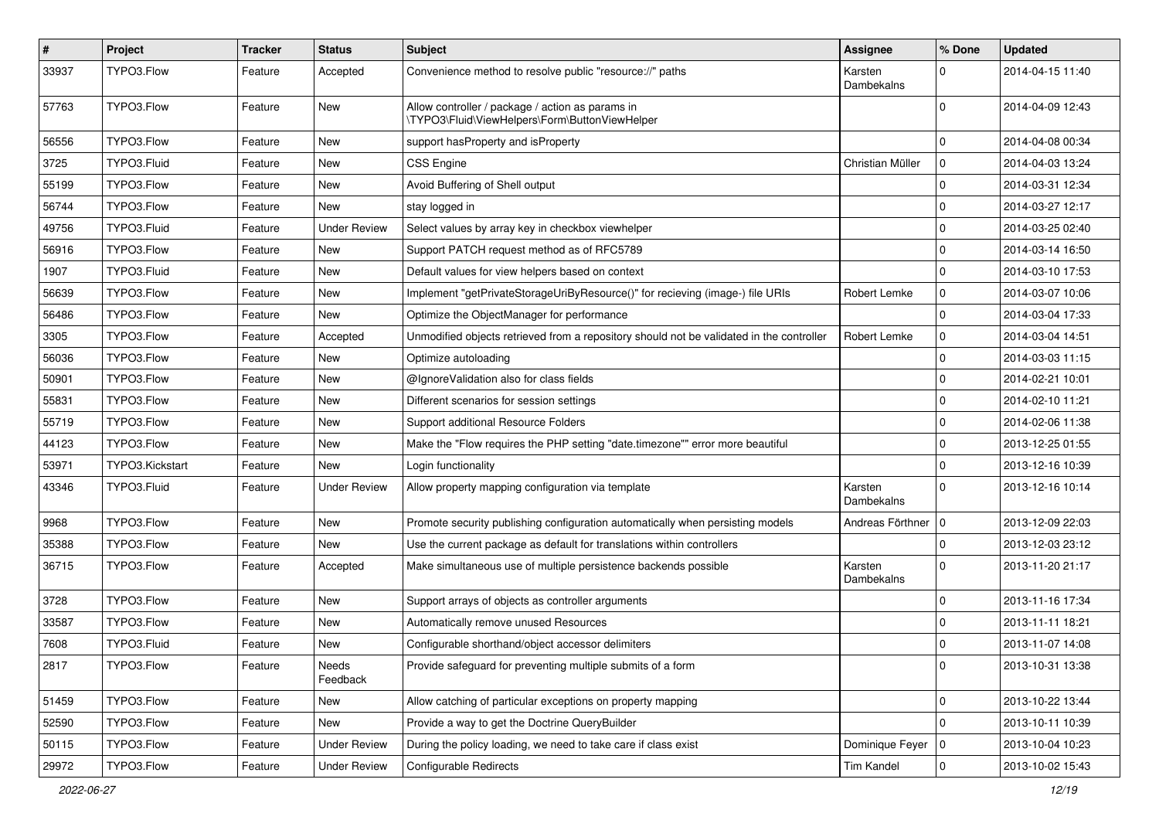| $\pmb{\#}$ | Project         | <b>Tracker</b> | <b>Status</b>       | Subject                                                                                            | <b>Assignee</b>       | % Done         | <b>Updated</b>   |
|------------|-----------------|----------------|---------------------|----------------------------------------------------------------------------------------------------|-----------------------|----------------|------------------|
| 33937      | TYPO3.Flow      | Feature        | Accepted            | Convenience method to resolve public "resource://" paths                                           | Karsten<br>Dambekalns | 0              | 2014-04-15 11:40 |
| 57763      | TYPO3.Flow      | Feature        | New                 | Allow controller / package / action as params in<br>\TYPO3\Fluid\ViewHelpers\Form\ButtonViewHelper |                       | $\Omega$       | 2014-04-09 12:43 |
| 56556      | TYPO3.Flow      | Feature        | <b>New</b>          | support hasProperty and isProperty                                                                 |                       | 0              | 2014-04-08 00:34 |
| 3725       | TYPO3.Fluid     | Feature        | New                 | <b>CSS Engine</b>                                                                                  | Christian Müller      | $\mathbf 0$    | 2014-04-03 13:24 |
| 55199      | TYPO3.Flow      | Feature        | New                 | Avoid Buffering of Shell output                                                                    |                       | $\mathbf 0$    | 2014-03-31 12:34 |
| 56744      | TYPO3.Flow      | Feature        | New                 | stay logged in                                                                                     |                       | $\mathbf 0$    | 2014-03-27 12:17 |
| 49756      | TYPO3.Fluid     | Feature        | <b>Under Review</b> | Select values by array key in checkbox viewhelper                                                  |                       | 0              | 2014-03-25 02:40 |
| 56916      | TYPO3.Flow      | Feature        | New                 | Support PATCH request method as of RFC5789                                                         |                       | $\mathbf 0$    | 2014-03-14 16:50 |
| 1907       | TYPO3.Fluid     | Feature        | New                 | Default values for view helpers based on context                                                   |                       | $\mathbf 0$    | 2014-03-10 17:53 |
| 56639      | TYPO3.Flow      | Feature        | New                 | Implement "getPrivateStorageUriByResource()" for recieving (image-) file URIs                      | Robert Lemke          | $\mathbf 0$    | 2014-03-07 10:06 |
| 56486      | TYPO3.Flow      | Feature        | New                 | Optimize the ObjectManager for performance                                                         |                       | $\mathbf 0$    | 2014-03-04 17:33 |
| 3305       | TYPO3.Flow      | Feature        | Accepted            | Unmodified objects retrieved from a repository should not be validated in the controller           | Robert Lemke          | $\mathbf 0$    | 2014-03-04 14:51 |
| 56036      | TYPO3.Flow      | Feature        | New                 | Optimize autoloading                                                                               |                       | $\mathbf 0$    | 2014-03-03 11:15 |
| 50901      | TYPO3.Flow      | Feature        | New                 | @IgnoreValidation also for class fields                                                            |                       | $\mathbf 0$    | 2014-02-21 10:01 |
| 55831      | TYPO3.Flow      | Feature        | New                 | Different scenarios for session settings                                                           |                       | $\mathbf 0$    | 2014-02-10 11:21 |
| 55719      | TYPO3.Flow      | Feature        | <b>New</b>          | Support additional Resource Folders                                                                |                       | 0              | 2014-02-06 11:38 |
| 44123      | TYPO3.Flow      | Feature        | New                 | Make the "Flow requires the PHP setting "date.timezone"" error more beautiful                      |                       | $\mathbf 0$    | 2013-12-25 01:55 |
| 53971      | TYPO3.Kickstart | Feature        | New                 | Login functionality                                                                                |                       | $\mathbf 0$    | 2013-12-16 10:39 |
| 43346      | TYPO3.Fluid     | Feature        | Under Review        | Allow property mapping configuration via template                                                  | Karsten<br>Dambekalns | $\mathbf 0$    | 2013-12-16 10:14 |
| 9968       | TYPO3.Flow      | Feature        | <b>New</b>          | Promote security publishing configuration automatically when persisting models                     | Andreas Förthner      | ١o             | 2013-12-09 22:03 |
| 35388      | TYPO3.Flow      | Feature        | New                 | Use the current package as default for translations within controllers                             |                       | $\mathbf 0$    | 2013-12-03 23:12 |
| 36715      | TYPO3.Flow      | Feature        | Accepted            | Make simultaneous use of multiple persistence backends possible                                    | Karsten<br>Dambekalns | $\mathbf 0$    | 2013-11-20 21:17 |
| 3728       | TYPO3.Flow      | Feature        | <b>New</b>          | Support arrays of objects as controller arguments                                                  |                       | 0              | 2013-11-16 17:34 |
| 33587      | TYPO3.Flow      | Feature        | New                 | Automatically remove unused Resources                                                              |                       | $\mathbf 0$    | 2013-11-11 18:21 |
| 7608       | TYPO3.Fluid     | Feature        | New                 | Configurable shorthand/object accessor delimiters                                                  |                       | $\mathbf 0$    | 2013-11-07 14:08 |
| 2817       | TYPO3.Flow      | Feature        | Needs<br>Feedback   | Provide safeguard for preventing multiple submits of a form                                        |                       | $\mathbf 0$    | 2013-10-31 13:38 |
| 51459      | TYPO3.Flow      | Feature        | New                 | Allow catching of particular exceptions on property mapping                                        |                       | $\pmb{0}$      | 2013-10-22 13:44 |
| 52590      | TYPO3.Flow      | Feature        | New                 | Provide a way to get the Doctrine QueryBuilder                                                     |                       | $\mathbf 0$    | 2013-10-11 10:39 |
| 50115      | TYPO3.Flow      | Feature        | <b>Under Review</b> | During the policy loading, we need to take care if class exist                                     | Dominique Feyer       | 10             | 2013-10-04 10:23 |
| 29972      | TYPO3.Flow      | Feature        | <b>Under Review</b> | Configurable Redirects                                                                             | <b>Tim Kandel</b>     | $\overline{0}$ | 2013-10-02 15:43 |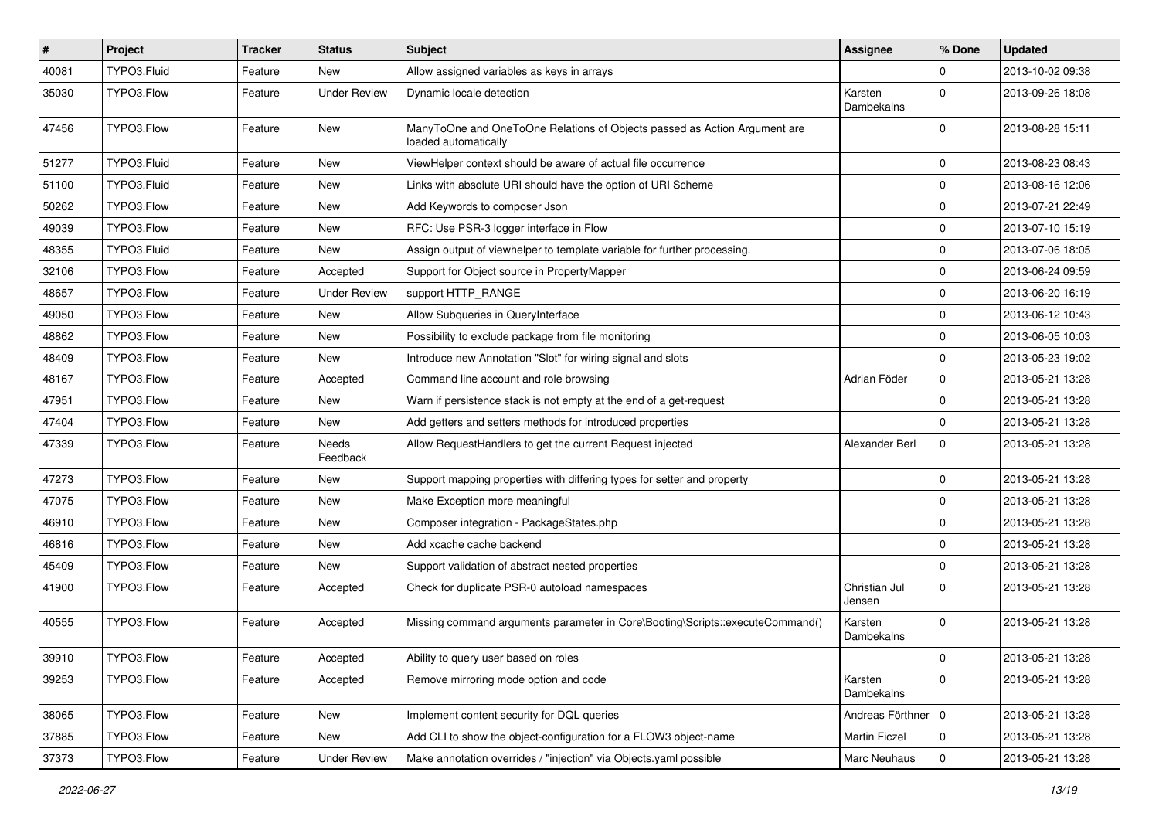| $\vert$ # | Project     | <b>Tracker</b> | <b>Status</b>       | Subject                                                                                           | <b>Assignee</b>         | % Done       | <b>Updated</b>   |
|-----------|-------------|----------------|---------------------|---------------------------------------------------------------------------------------------------|-------------------------|--------------|------------------|
| 40081     | TYPO3.Fluid | Feature        | New                 | Allow assigned variables as keys in arrays                                                        |                         | 0            | 2013-10-02 09:38 |
| 35030     | TYPO3.Flow  | Feature        | <b>Under Review</b> | Dynamic locale detection                                                                          | Karsten<br>Dambekalns   | 0            | 2013-09-26 18:08 |
| 47456     | TYPO3.Flow  | Feature        | New                 | ManyToOne and OneToOne Relations of Objects passed as Action Argument are<br>loaded automatically |                         | $\Omega$     | 2013-08-28 15:11 |
| 51277     | TYPO3.Fluid | Feature        | New                 | ViewHelper context should be aware of actual file occurrence                                      |                         | $\mathbf 0$  | 2013-08-23 08:43 |
| 51100     | TYPO3.Fluid | Feature        | New                 | Links with absolute URI should have the option of URI Scheme                                      |                         | $\mathbf{0}$ | 2013-08-16 12:06 |
| 50262     | TYPO3.Flow  | Feature        | New                 | Add Keywords to composer Json                                                                     |                         | $\mathbf 0$  | 2013-07-21 22:49 |
| 49039     | TYPO3.Flow  | Feature        | New                 | RFC: Use PSR-3 logger interface in Flow                                                           |                         | 0            | 2013-07-10 15:19 |
| 48355     | TYPO3.Fluid | Feature        | New                 | Assign output of viewhelper to template variable for further processing.                          |                         | 0            | 2013-07-06 18:05 |
| 32106     | TYPO3.Flow  | Feature        | Accepted            | Support for Object source in PropertyMapper                                                       |                         | $\mathbf{0}$ | 2013-06-24 09:59 |
| 48657     | TYPO3.Flow  | Feature        | <b>Under Review</b> | support HTTP_RANGE                                                                                |                         | $\mathbf 0$  | 2013-06-20 16:19 |
| 49050     | TYPO3.Flow  | Feature        | New                 | Allow Subqueries in QueryInterface                                                                |                         | $\mathbf 0$  | 2013-06-12 10:43 |
| 48862     | TYPO3.Flow  | Feature        | New                 | Possibility to exclude package from file monitoring                                               |                         | 0            | 2013-06-05 10:03 |
| 48409     | TYPO3.Flow  | Feature        | New                 | Introduce new Annotation "Slot" for wiring signal and slots                                       |                         | $\mathbf 0$  | 2013-05-23 19:02 |
| 48167     | TYPO3.Flow  | Feature        | Accepted            | Command line account and role browsing                                                            | Adrian Föder            | $\mathbf 0$  | 2013-05-21 13:28 |
| 47951     | TYPO3.Flow  | Feature        | New                 | Warn if persistence stack is not empty at the end of a get-request                                |                         | $\mathbf 0$  | 2013-05-21 13:28 |
| 47404     | TYPO3.Flow  | Feature        | <b>New</b>          | Add getters and setters methods for introduced properties                                         |                         | 0            | 2013-05-21 13:28 |
| 47339     | TYPO3.Flow  | Feature        | Needs<br>Feedback   | Allow RequestHandlers to get the current Request injected                                         | Alexander Berl          | $\mathbf 0$  | 2013-05-21 13:28 |
| 47273     | TYPO3.Flow  | Feature        | New                 | Support mapping properties with differing types for setter and property                           |                         | $\mathbf 0$  | 2013-05-21 13:28 |
| 47075     | TYPO3.Flow  | Feature        | New                 | Make Exception more meaningful                                                                    |                         | 0            | 2013-05-21 13:28 |
| 46910     | TYPO3.Flow  | Feature        | New                 | Composer integration - PackageStates.php                                                          |                         | $\mathbf 0$  | 2013-05-21 13:28 |
| 46816     | TYPO3.Flow  | Feature        | New                 | Add xcache cache backend                                                                          |                         | $\mathbf{0}$ | 2013-05-21 13:28 |
| 45409     | TYPO3.Flow  | Feature        | New                 | Support validation of abstract nested properties                                                  |                         | $\mathbf 0$  | 2013-05-21 13:28 |
| 41900     | TYPO3.Flow  | Feature        | Accepted            | Check for duplicate PSR-0 autoload namespaces                                                     | Christian Jul<br>Jensen | $\mathbf 0$  | 2013-05-21 13:28 |
| 40555     | TYPO3.Flow  | Feature        | Accepted            | Missing command arguments parameter in Core\Booting\Scripts::executeCommand()                     | Karsten<br>Dambekalns   | $\Omega$     | 2013-05-21 13:28 |
| 39910     | TYPO3.Flow  | Feature        | Accepted            | Ability to query user based on roles                                                              |                         | $\mathbf 0$  | 2013-05-21 13:28 |
| 39253     | TYPO3.Flow  | Feature        | Accepted            | Remove mirroring mode option and code                                                             | Karsten<br>Dambekalns   | $\mathbf 0$  | 2013-05-21 13:28 |
| 38065     | TYPO3.Flow  | Feature        | New                 | Implement content security for DQL queries                                                        | Andreas Förthner   0    |              | 2013-05-21 13:28 |
| 37885     | TYPO3.Flow  | Feature        | New                 | Add CLI to show the object-configuration for a FLOW3 object-name                                  | Martin Ficzel           | $\mathbf 0$  | 2013-05-21 13:28 |
| 37373     | TYPO3.Flow  | Feature        | <b>Under Review</b> | Make annotation overrides / "injection" via Objects.yaml possible                                 | Marc Neuhaus            | $\mathbf 0$  | 2013-05-21 13:28 |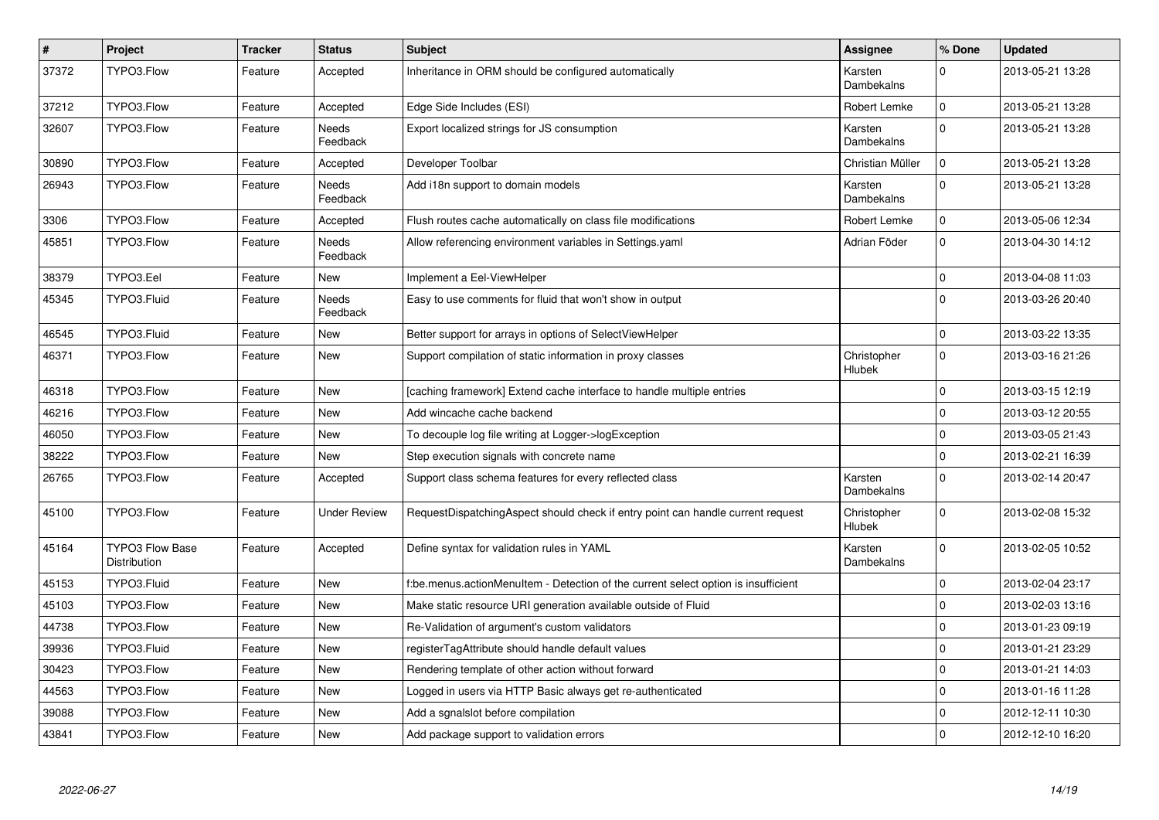| $\pmb{\#}$ | Project                                | <b>Tracker</b> | <b>Status</b>       | <b>Subject</b>                                                                     | <b>Assignee</b>       | % Done         | <b>Updated</b>   |
|------------|----------------------------------------|----------------|---------------------|------------------------------------------------------------------------------------|-----------------------|----------------|------------------|
| 37372      | TYPO3.Flow                             | Feature        | Accepted            | Inheritance in ORM should be configured automatically                              | Karsten<br>Dambekalns | $\Omega$       | 2013-05-21 13:28 |
| 37212      | TYPO3.Flow                             | Feature        | Accepted            | Edge Side Includes (ESI)                                                           | Robert Lemke          | $\mathbf{0}$   | 2013-05-21 13:28 |
| 32607      | TYPO3.Flow                             | Feature        | Needs<br>Feedback   | Export localized strings for JS consumption                                        | Karsten<br>Dambekalns | $\Omega$       | 2013-05-21 13:28 |
| 30890      | TYPO3.Flow                             | Feature        | Accepted            | Developer Toolbar                                                                  | Christian Müller      | $\mathbf{0}$   | 2013-05-21 13:28 |
| 26943      | TYPO3.Flow                             | Feature        | Needs<br>Feedback   | Add i18n support to domain models                                                  | Karsten<br>Dambekalns | $\Omega$       | 2013-05-21 13:28 |
| 3306       | TYPO3.Flow                             | Feature        | Accepted            | Flush routes cache automatically on class file modifications                       | Robert Lemke          | $\mathbf 0$    | 2013-05-06 12:34 |
| 45851      | TYPO3.Flow                             | Feature        | Needs<br>Feedback   | Allow referencing environment variables in Settings.yaml                           | Adrian Föder          | $\overline{0}$ | 2013-04-30 14:12 |
| 38379      | TYPO3.Eel                              | Feature        | New                 | Implement a Eel-ViewHelper                                                         |                       | $\Omega$       | 2013-04-08 11:03 |
| 45345      | TYPO3.Fluid                            | Feature        | Needs<br>Feedback   | Easy to use comments for fluid that won't show in output                           |                       | $\Omega$       | 2013-03-26 20:40 |
| 46545      | TYPO3.Fluid                            | Feature        | New                 | Better support for arrays in options of SelectViewHelper                           |                       | $\pmb{0}$      | 2013-03-22 13:35 |
| 46371      | TYPO3.Flow                             | Feature        | <b>New</b>          | Support compilation of static information in proxy classes                         | Christopher<br>Hlubek | $\Omega$       | 2013-03-16 21:26 |
| 46318      | TYPO3.Flow                             | Feature        | New                 | [caching framework] Extend cache interface to handle multiple entries              |                       | $\Omega$       | 2013-03-15 12:19 |
| 46216      | TYPO3.Flow                             | Feature        | <b>New</b>          | Add wincache cache backend                                                         |                       | 0              | 2013-03-12 20:55 |
| 46050      | TYPO3.Flow                             | Feature        | <b>New</b>          | To decouple log file writing at Logger->logException                               |                       | $\mathbf 0$    | 2013-03-05 21:43 |
| 38222      | TYPO3.Flow                             | Feature        | New                 | Step execution signals with concrete name                                          |                       | $\mathbf{0}$   | 2013-02-21 16:39 |
| 26765      | TYPO3.Flow                             | Feature        | Accepted            | Support class schema features for every reflected class                            | Karsten<br>Dambekalns | $\Omega$       | 2013-02-14 20:47 |
| 45100      | TYPO3.Flow                             | Feature        | <b>Under Review</b> | RequestDispatchingAspect should check if entry point can handle current request    | Christopher<br>Hlubek | $\overline{0}$ | 2013-02-08 15:32 |
| 45164      | <b>TYPO3 Flow Base</b><br>Distribution | Feature        | Accepted            | Define syntax for validation rules in YAML                                         | Karsten<br>Dambekalns | $\overline{0}$ | 2013-02-05 10:52 |
| 45153      | TYPO3.Fluid                            | Feature        | New                 | f:be.menus.actionMenuItem - Detection of the current select option is insufficient |                       | 0              | 2013-02-04 23:17 |
| 45103      | TYPO3.Flow                             | Feature        | <b>New</b>          | Make static resource URI generation available outside of Fluid                     |                       | $\mathbf{0}$   | 2013-02-03 13:16 |
| 44738      | TYPO3.Flow                             | Feature        | New                 | Re-Validation of argument's custom validators                                      |                       | 0              | 2013-01-23 09:19 |
| 39936      | TYPO3.Fluid                            | Feature        | <b>New</b>          | registerTagAttribute should handle default values                                  |                       | $\Omega$       | 2013-01-21 23:29 |
| 30423      | TYPO3.Flow                             | Feature        | New                 | Rendering template of other action without forward                                 |                       | 0              | 2013-01-21 14:03 |
| 44563      | TYPO3.Flow                             | Feature        | <b>New</b>          | Logged in users via HTTP Basic always get re-authenticated                         |                       | $\mathbf{0}$   | 2013-01-16 11:28 |
| 39088      | TYPO3.Flow                             | Feature        | New                 | Add a sgnalslot before compilation                                                 |                       | $\pmb{0}$      | 2012-12-11 10:30 |
| 43841      | TYPO3.Flow                             | Feature        | New                 | Add package support to validation errors                                           |                       | $\mathbf 0$    | 2012-12-10 16:20 |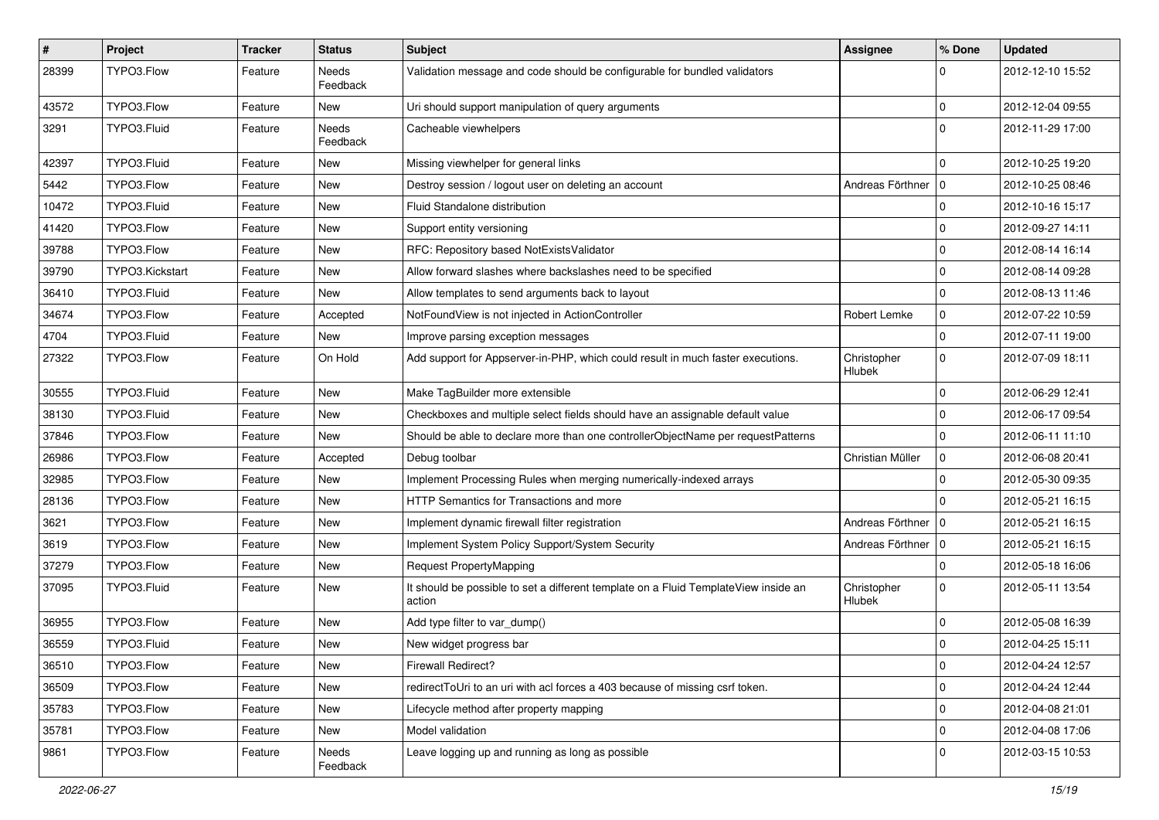| $\sharp$ | Project         | <b>Tracker</b> | <b>Status</b>     | Subject                                                                                       | <b>Assignee</b>              | % Done         | <b>Updated</b>   |
|----------|-----------------|----------------|-------------------|-----------------------------------------------------------------------------------------------|------------------------------|----------------|------------------|
| 28399    | TYPO3.Flow      | Feature        | Needs<br>Feedback | Validation message and code should be configurable for bundled validators                     |                              | 0              | 2012-12-10 15:52 |
| 43572    | TYPO3.Flow      | Feature        | New               | Uri should support manipulation of query arguments                                            |                              | $\mathbf 0$    | 2012-12-04 09:55 |
| 3291     | TYPO3.Fluid     | Feature        | Needs<br>Feedback | Cacheable viewhelpers                                                                         |                              | $\Omega$       | 2012-11-29 17:00 |
| 42397    | TYPO3.Fluid     | Feature        | New               | Missing viewhelper for general links                                                          |                              | $\Omega$       | 2012-10-25 19:20 |
| 5442     | TYPO3.Flow      | Feature        | New               | Destroy session / logout user on deleting an account                                          | Andreas Förthner             | $\overline{0}$ | 2012-10-25 08:46 |
| 10472    | TYPO3.Fluid     | Feature        | New               | Fluid Standalone distribution                                                                 |                              | 0              | 2012-10-16 15:17 |
| 41420    | TYPO3.Flow      | Feature        | New               | Support entity versioning                                                                     |                              | 0              | 2012-09-27 14:11 |
| 39788    | TYPO3.Flow      | Feature        | New               | RFC: Repository based NotExistsValidator                                                      |                              | $\mathbf 0$    | 2012-08-14 16:14 |
| 39790    | TYPO3.Kickstart | Feature        | New               | Allow forward slashes where backslashes need to be specified                                  |                              | $\mathbf 0$    | 2012-08-14 09:28 |
| 36410    | TYPO3.Fluid     | Feature        | New               | Allow templates to send arguments back to layout                                              |                              | $\mathbf 0$    | 2012-08-13 11:46 |
| 34674    | TYPO3.Flow      | Feature        | Accepted          | NotFoundView is not injected in ActionController                                              | Robert Lemke                 | 0              | 2012-07-22 10:59 |
| 4704     | TYPO3.Fluid     | Feature        | New               | Improve parsing exception messages                                                            |                              | $\mathbf 0$    | 2012-07-11 19:00 |
| 27322    | TYPO3.Flow      | Feature        | On Hold           | Add support for Appserver-in-PHP, which could result in much faster executions.               | Christopher<br>Hlubek        | $\Omega$       | 2012-07-09 18:11 |
| 30555    | TYPO3.Fluid     | Feature        | <b>New</b>        | Make TagBuilder more extensible                                                               |                              | $\Omega$       | 2012-06-29 12:41 |
| 38130    | TYPO3.Fluid     | Feature        | <b>New</b>        | Checkboxes and multiple select fields should have an assignable default value                 |                              | 0              | 2012-06-17 09:54 |
| 37846    | TYPO3.Flow      | Feature        | New               | Should be able to declare more than one controllerObjectName per requestPatterns              |                              | $\mathbf 0$    | 2012-06-11 11:10 |
| 26986    | TYPO3.Flow      | Feature        | Accepted          | Debug toolbar                                                                                 | Christian Müller             | $\mathbf 0$    | 2012-06-08 20:41 |
| 32985    | TYPO3.Flow      | Feature        | <b>New</b>        | Implement Processing Rules when merging numerically-indexed arrays                            |                              | $\mathbf 0$    | 2012-05-30 09:35 |
| 28136    | TYPO3.Flow      | Feature        | New               | HTTP Semantics for Transactions and more                                                      |                              | $\Omega$       | 2012-05-21 16:15 |
| 3621     | TYPO3.Flow      | Feature        | New               | Implement dynamic firewall filter registration                                                | Andreas Förthner             | l o            | 2012-05-21 16:15 |
| 3619     | TYPO3.Flow      | Feature        | New               | Implement System Policy Support/System Security                                               | Andreas Förthner   0         |                | 2012-05-21 16:15 |
| 37279    | TYPO3.Flow      | Feature        | New               | Request PropertyMapping                                                                       |                              | $\mathbf 0$    | 2012-05-18 16:06 |
| 37095    | TYPO3.Fluid     | Feature        | New               | It should be possible to set a different template on a Fluid TemplateView inside an<br>action | Christopher<br><b>Hlubek</b> | $\Omega$       | 2012-05-11 13:54 |
| 36955    | TYPO3.Flow      | Feature        | <b>New</b>        | Add type filter to var_dump()                                                                 |                              | $\mathbf 0$    | 2012-05-08 16:39 |
| 36559    | TYPO3.Fluid     | Feature        | New               | New widget progress bar                                                                       |                              | $\mathbf 0$    | 2012-04-25 15:11 |
| 36510    | TYPO3.Flow      | Feature        | New               | <b>Firewall Redirect?</b>                                                                     |                              | $\pmb{0}$      | 2012-04-24 12:57 |
| 36509    | TYPO3.Flow      | Feature        | <b>New</b>        | redirectToUri to an uri with acl forces a 403 because of missing csrf token.                  |                              | $\pmb{0}$      | 2012-04-24 12:44 |
| 35783    | TYPO3.Flow      | Feature        | New               | Lifecycle method after property mapping                                                       |                              | $\mathbf 0$    | 2012-04-08 21:01 |
| 35781    | TYPO3.Flow      | Feature        | New               | Model validation                                                                              |                              | $\pmb{0}$      | 2012-04-08 17:06 |
| 9861     | TYPO3.Flow      | Feature        | Needs<br>Feedback | Leave logging up and running as long as possible                                              |                              | $\mathbf 0$    | 2012-03-15 10:53 |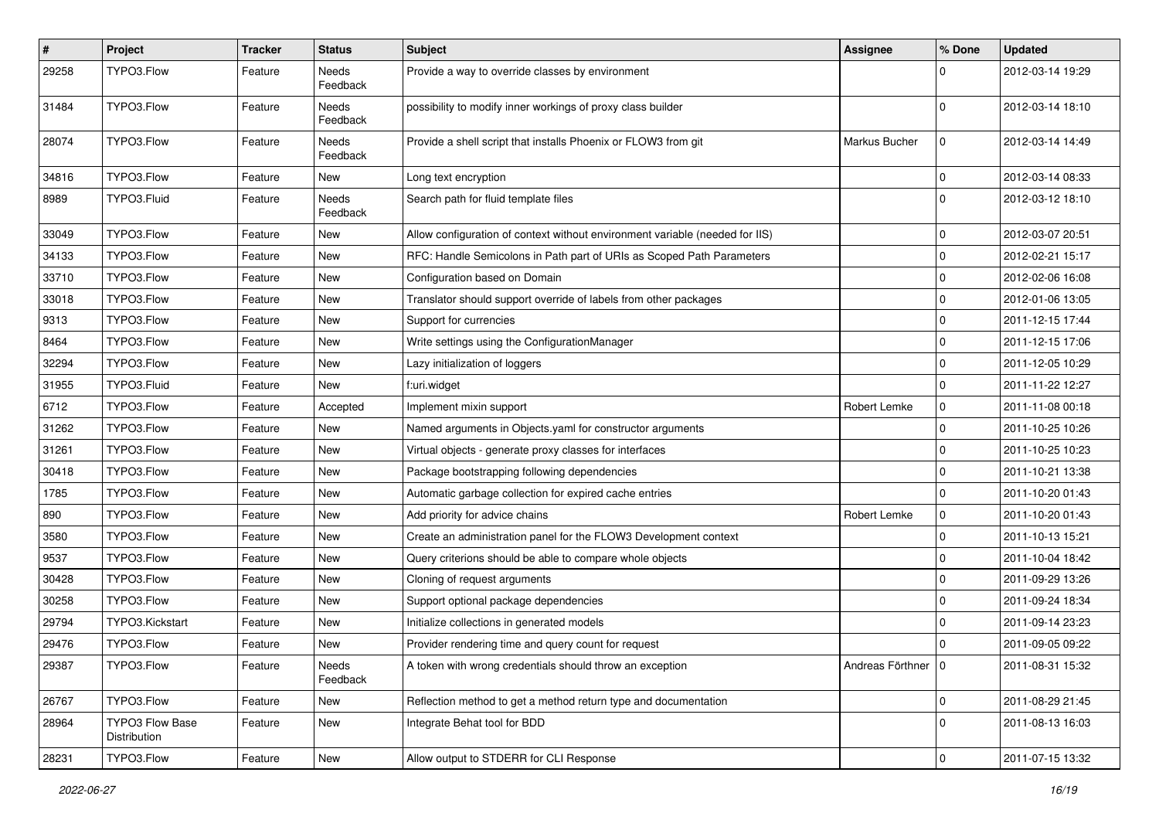| $\sharp$ | Project                         | <b>Tracker</b> | <b>Status</b>     | Subject                                                                      | <b>Assignee</b>      | % Done       | <b>Updated</b>   |
|----------|---------------------------------|----------------|-------------------|------------------------------------------------------------------------------|----------------------|--------------|------------------|
| 29258    | TYPO3.Flow                      | Feature        | Needs<br>Feedback | Provide a way to override classes by environment                             |                      | 0            | 2012-03-14 19:29 |
| 31484    | TYPO3.Flow                      | Feature        | Needs<br>Feedback | possibility to modify inner workings of proxy class builder                  |                      | $\mathbf 0$  | 2012-03-14 18:10 |
| 28074    | TYPO3.Flow                      | Feature        | Needs<br>Feedback | Provide a shell script that installs Phoenix or FLOW3 from git               | Markus Bucher        | 0            | 2012-03-14 14:49 |
| 34816    | TYPO3.Flow                      | Feature        | <b>New</b>        | Long text encryption                                                         |                      | 0            | 2012-03-14 08:33 |
| 8989     | TYPO3.Fluid                     | Feature        | Needs<br>Feedback | Search path for fluid template files                                         |                      | $\mathbf{0}$ | 2012-03-12 18:10 |
| 33049    | TYPO3.Flow                      | Feature        | New               | Allow configuration of context without environment variable (needed for IIS) |                      | 0            | 2012-03-07 20:51 |
| 34133    | TYPO3.Flow                      | Feature        | New               | RFC: Handle Semicolons in Path part of URIs as Scoped Path Parameters        |                      | 0            | 2012-02-21 15:17 |
| 33710    | TYPO3.Flow                      | Feature        | New               | Configuration based on Domain                                                |                      | 0            | 2012-02-06 16:08 |
| 33018    | TYPO3.Flow                      | Feature        | <b>New</b>        | Translator should support override of labels from other packages             |                      | 0            | 2012-01-06 13:05 |
| 9313     | TYPO3.Flow                      | Feature        | New               | Support for currencies                                                       |                      | 0            | 2011-12-15 17:44 |
| 8464     | TYPO3.Flow                      | Feature        | <b>New</b>        | Write settings using the ConfigurationManager                                |                      | $\pmb{0}$    | 2011-12-15 17:06 |
| 32294    | TYPO3.Flow                      | Feature        | New               | Lazy initialization of loggers                                               |                      | $\mathbf 0$  | 2011-12-05 10:29 |
| 31955    | TYPO3.Fluid                     | Feature        | <b>New</b>        | f:uri.widget                                                                 |                      | $\mathbf 0$  | 2011-11-22 12:27 |
| 6712     | TYPO3.Flow                      | Feature        | Accepted          | Implement mixin support                                                      | Robert Lemke         | 0            | 2011-11-08 00:18 |
| 31262    | TYPO3.Flow                      | Feature        | New               | Named arguments in Objects yaml for constructor arguments                    |                      | 0            | 2011-10-25 10:26 |
| 31261    | TYPO3.Flow                      | Feature        | <b>New</b>        | Virtual objects - generate proxy classes for interfaces                      |                      | 0            | 2011-10-25 10:23 |
| 30418    | TYPO3.Flow                      | Feature        | New               | Package bootstrapping following dependencies                                 |                      | 0            | 2011-10-21 13:38 |
| 1785     | TYPO3.Flow                      | Feature        | New               | Automatic garbage collection for expired cache entries                       |                      | 0            | 2011-10-20 01:43 |
| 890      | TYPO3.Flow                      | Feature        | <b>New</b>        | Add priority for advice chains                                               | Robert Lemke         | 0            | 2011-10-20 01:43 |
| 3580     | TYPO3.Flow                      | Feature        | New               | Create an administration panel for the FLOW3 Development context             |                      | 0            | 2011-10-13 15:21 |
| 9537     | TYPO3.Flow                      | Feature        | New               | Query criterions should be able to compare whole objects                     |                      | 0            | 2011-10-04 18:42 |
| 30428    | TYPO3.Flow                      | Feature        | <b>New</b>        | Cloning of request arguments                                                 |                      | $\mathbf{0}$ | 2011-09-29 13:26 |
| 30258    | TYPO3.Flow                      | Feature        | New               | Support optional package dependencies                                        |                      | 0            | 2011-09-24 18:34 |
| 29794    | TYPO3.Kickstart                 | Feature        | New               | Initialize collections in generated models                                   |                      | 0            | 2011-09-14 23:23 |
| 29476    | TYPO3.Flow                      | Feature        | New               | Provider rendering time and query count for request                          |                      | 0            | 2011-09-05 09:22 |
| 29387    | TYPO3.Flow                      | Feature        | Needs<br>Feedback | A token with wrong credentials should throw an exception                     | Andreas Förthner   0 |              | 2011-08-31 15:32 |
| 26767    | TYPO3.Flow                      | Feature        | New               | Reflection method to get a method return type and documentation              |                      | $\pmb{0}$    | 2011-08-29 21:45 |
| 28964    | TYPO3 Flow Base<br>Distribution | Feature        | New               | Integrate Behat tool for BDD                                                 |                      | $\mathbf 0$  | 2011-08-13 16:03 |
| 28231    | TYPO3.Flow                      | Feature        | New               | Allow output to STDERR for CLI Response                                      |                      | $\pmb{0}$    | 2011-07-15 13:32 |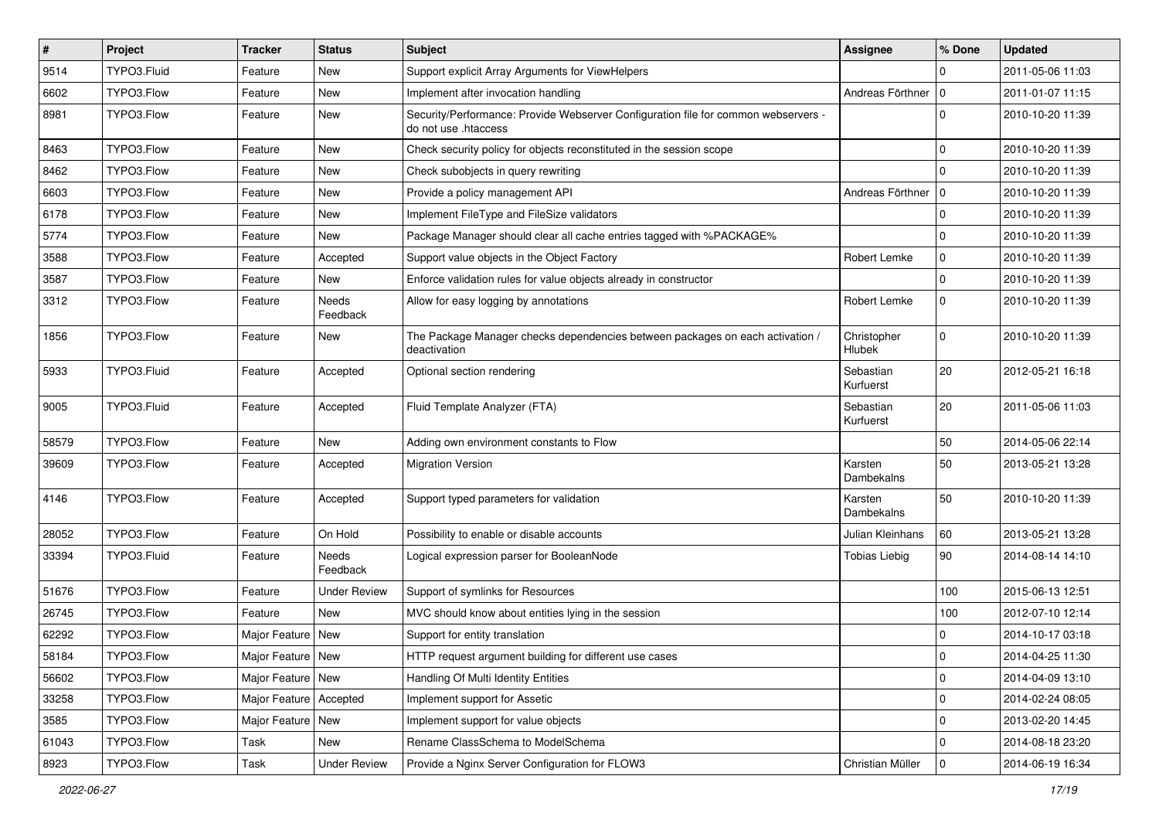| $\sharp$ | Project     | Tracker                  | <b>Status</b>            | <b>Subject</b>                                                                                             | <b>Assignee</b>        | % Done         | <b>Updated</b>   |
|----------|-------------|--------------------------|--------------------------|------------------------------------------------------------------------------------------------------------|------------------------|----------------|------------------|
| 9514     | TYPO3.Fluid | Feature                  | New                      | Support explicit Array Arguments for ViewHelpers                                                           |                        | $\Omega$       | 2011-05-06 11:03 |
| 6602     | TYPO3.Flow  | Feature                  | <b>New</b>               | Implement after invocation handling                                                                        | Andreas Förthner       | 10             | 2011-01-07 11:15 |
| 8981     | TYPO3.Flow  | Feature                  | New                      | Security/Performance: Provide Webserver Configuration file for common webservers -<br>do not use .htaccess |                        | $\mathbf 0$    | 2010-10-20 11:39 |
| 8463     | TYPO3.Flow  | Feature                  | <b>New</b>               | Check security policy for objects reconstituted in the session scope                                       |                        | $\mathbf{0}$   | 2010-10-20 11:39 |
| 8462     | TYPO3.Flow  | Feature                  | New                      | Check subobjects in query rewriting                                                                        |                        | $\mathbf{0}$   | 2010-10-20 11:39 |
| 6603     | TYPO3.Flow  | Feature                  | New                      | Provide a policy management API                                                                            | Andreas Förthner   0   |                | 2010-10-20 11:39 |
| 6178     | TYPO3.Flow  | Feature                  | New                      | Implement FileType and FileSize validators                                                                 |                        | $\mathbf{0}$   | 2010-10-20 11:39 |
| 5774     | TYPO3.Flow  | Feature                  | New                      | Package Manager should clear all cache entries tagged with %PACKAGE%                                       |                        | $\mathbf{0}$   | 2010-10-20 11:39 |
| 3588     | TYPO3.Flow  | Feature                  | Accepted                 | Support value objects in the Object Factory                                                                | Robert Lemke           | 0              | 2010-10-20 11:39 |
| 3587     | TYPO3.Flow  | Feature                  | New                      | Enforce validation rules for value objects already in constructor                                          |                        | $\mathbf 0$    | 2010-10-20 11:39 |
| 3312     | TYPO3.Flow  | Feature                  | Needs<br>Feedback        | Allow for easy logging by annotations                                                                      | Robert Lemke           | $\mathbf 0$    | 2010-10-20 11:39 |
| 1856     | TYPO3.Flow  | Feature                  | New                      | The Package Manager checks dependencies between packages on each activation /<br>deactivation              | Christopher<br>Hlubek  | $\mathbf 0$    | 2010-10-20 11:39 |
| 5933     | TYPO3.Fluid | Feature                  | Accepted                 | Optional section rendering                                                                                 | Sebastian<br>Kurfuerst | 20             | 2012-05-21 16:18 |
| 9005     | TYPO3.Fluid | Feature                  | Accepted                 | Fluid Template Analyzer (FTA)                                                                              | Sebastian<br>Kurfuerst | 20             | 2011-05-06 11:03 |
| 58579    | TYPO3.Flow  | Feature                  | New                      | Adding own environment constants to Flow                                                                   |                        | 50             | 2014-05-06 22:14 |
| 39609    | TYPO3.Flow  | Feature                  | Accepted                 | <b>Migration Version</b>                                                                                   | Karsten<br>Dambekalns  | 50             | 2013-05-21 13:28 |
| 4146     | TYPO3.Flow  | Feature                  | Accepted                 | Support typed parameters for validation                                                                    | Karsten<br>Dambekalns  | 50             | 2010-10-20 11:39 |
| 28052    | TYPO3.Flow  | Feature                  | On Hold                  | Possibility to enable or disable accounts                                                                  | Julian Kleinhans       | 60             | 2013-05-21 13:28 |
| 33394    | TYPO3.Fluid | Feature                  | <b>Needs</b><br>Feedback | Logical expression parser for BooleanNode                                                                  | <b>Tobias Liebig</b>   | 90             | 2014-08-14 14:10 |
| 51676    | TYPO3.Flow  | Feature                  | Under Review             | Support of symlinks for Resources                                                                          |                        | 100            | 2015-06-13 12:51 |
| 26745    | TYPO3.Flow  | Feature                  | <b>New</b>               | MVC should know about entities lying in the session                                                        |                        | 100            | 2012-07-10 12:14 |
| 62292    | TYPO3.Flow  | Major Feature   New      |                          | Support for entity translation                                                                             |                        | 0              | 2014-10-17 03:18 |
| 58184    | TYPO3.Flow  | Major Feature   New      |                          | HTTP request argument building for different use cases                                                     |                        | 0              | 2014-04-25 11:30 |
| 56602    | TYPO3.Flow  | Major Feature   New      |                          | Handling Of Multi Identity Entities                                                                        |                        | $\mathbf 0$    | 2014-04-09 13:10 |
| 33258    | TYPO3.Flow  | Major Feature   Accepted |                          | Implement support for Assetic                                                                              |                        | $\mathbf 0$    | 2014-02-24 08:05 |
| 3585     | TYPO3.Flow  | Major Feature   New      |                          | Implement support for value objects                                                                        |                        | $\mathbf 0$    | 2013-02-20 14:45 |
| 61043    | TYPO3.Flow  | Task                     | New                      | Rename ClassSchema to ModelSchema                                                                          |                        | $\mathbf 0$    | 2014-08-18 23:20 |
| 8923     | TYPO3.Flow  | Task                     | <b>Under Review</b>      | Provide a Nginx Server Configuration for FLOW3                                                             | Christian Müller       | $\overline{0}$ | 2014-06-19 16:34 |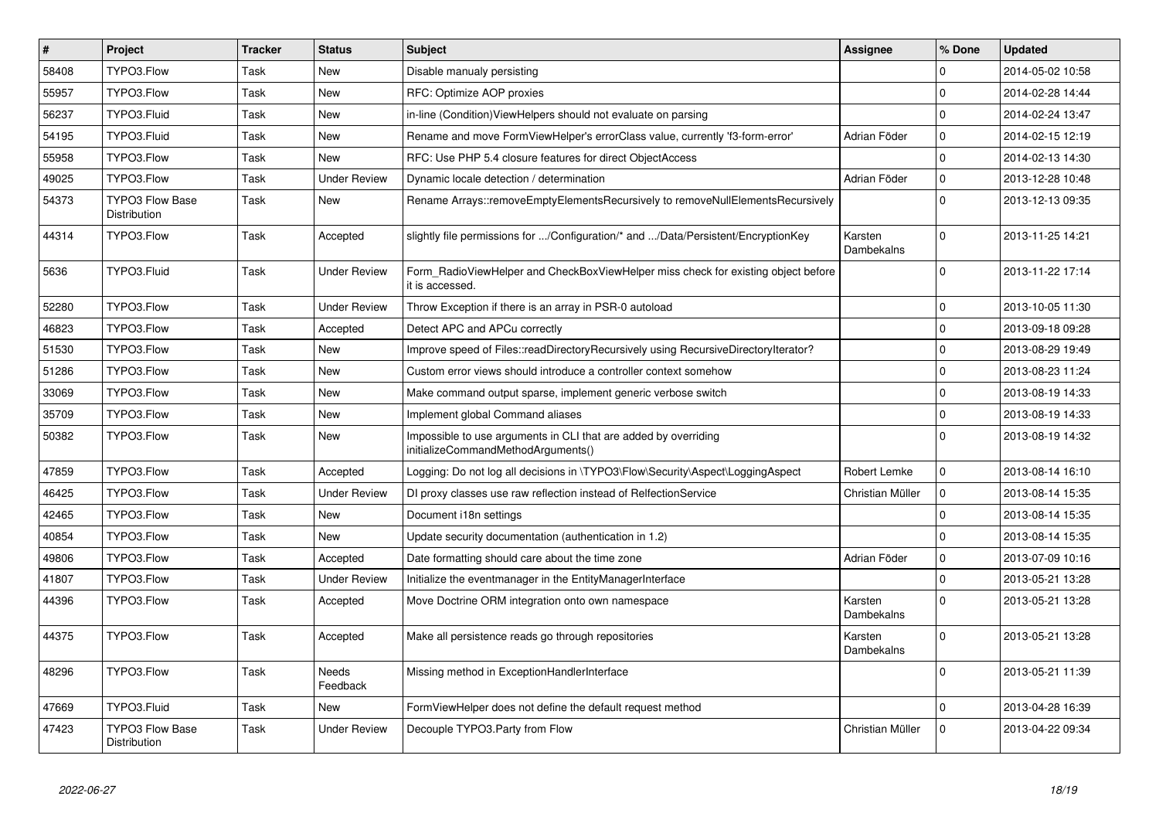| $\vert$ # | <b>Project</b>                                | <b>Tracker</b> | <b>Status</b>       | <b>Subject</b>                                                                                        | <b>Assignee</b>       | % Done       | <b>Updated</b>   |
|-----------|-----------------------------------------------|----------------|---------------------|-------------------------------------------------------------------------------------------------------|-----------------------|--------------|------------------|
| 58408     | TYPO3.Flow                                    | Task           | <b>New</b>          | Disable manualy persisting                                                                            |                       | $\Omega$     | 2014-05-02 10:58 |
| 55957     | TYPO3.Flow                                    | Task           | <b>New</b>          | RFC: Optimize AOP proxies                                                                             |                       | $\mathbf 0$  | 2014-02-28 14:44 |
| 56237     | TYPO3.Fluid                                   | Task           | <b>New</b>          | in-line (Condition) ViewHelpers should not evaluate on parsing                                        |                       | $\Omega$     | 2014-02-24 13:47 |
| 54195     | TYPO3.Fluid                                   | Task           | <b>New</b>          | Rename and move FormViewHelper's errorClass value, currently 'f3-form-error'                          | Adrian Föder          | $\mathbf 0$  | 2014-02-15 12:19 |
| 55958     | TYPO3.Flow                                    | Task           | <b>New</b>          | RFC: Use PHP 5.4 closure features for direct ObjectAccess                                             |                       | $\mathbf{0}$ | 2014-02-13 14:30 |
| 49025     | TYPO3.Flow                                    | Task           | <b>Under Review</b> | Dynamic locale detection / determination                                                              | Adrian Föder          | $\mathbf 0$  | 2013-12-28 10:48 |
| 54373     | <b>TYPO3 Flow Base</b><br><b>Distribution</b> | Task           | <b>New</b>          | Rename Arrays::removeEmptyElementsRecursively to removeNullElementsRecursively                        |                       | $\Omega$     | 2013-12-13 09:35 |
| 44314     | TYPO3.Flow                                    | Task           | Accepted            | slightly file permissions for /Configuration/* and /Data/Persistent/EncryptionKey                     | Karsten<br>Dambekalns | $\mathbf 0$  | 2013-11-25 14:21 |
| 5636      | TYPO3.Fluid                                   | Task           | <b>Under Review</b> | Form RadioViewHelper and CheckBoxViewHelper miss check for existing object before<br>it is accessed.  |                       | $\mathbf 0$  | 2013-11-22 17:14 |
| 52280     | TYPO3.Flow                                    | Task           | Under Review        | Throw Exception if there is an array in PSR-0 autoload                                                |                       | $\mathbf 0$  | 2013-10-05 11:30 |
| 46823     | TYPO3.Flow                                    | Task           | Accepted            | Detect APC and APCu correctly                                                                         |                       | $\mathbf 0$  | 2013-09-18 09:28 |
| 51530     | TYPO3.Flow                                    | Task           | New                 | Improve speed of Files::readDirectoryRecursively using RecursiveDirectoryIterator?                    |                       | $\mathbf 0$  | 2013-08-29 19:49 |
| 51286     | TYPO3.Flow                                    | Task           | <b>New</b>          | Custom error views should introduce a controller context somehow                                      |                       | $\mathbf 0$  | 2013-08-23 11:24 |
| 33069     | TYPO3.Flow                                    | Task           | New                 | Make command output sparse, implement generic verbose switch                                          |                       | $\Omega$     | 2013-08-19 14:33 |
| 35709     | TYPO3.Flow                                    | Task           | <b>New</b>          | Implement global Command aliases                                                                      |                       | $\mathbf 0$  | 2013-08-19 14:33 |
| 50382     | TYPO3.Flow                                    | Task           | New                 | Impossible to use arguments in CLI that are added by overriding<br>initializeCommandMethodArguments() |                       | $\Omega$     | 2013-08-19 14:32 |
| 47859     | TYPO3.Flow                                    | Task           | Accepted            | Logging: Do not log all decisions in \TYPO3\Flow\Security\Aspect\LoggingAspect                        | Robert Lemke          | $\mathbf{0}$ | 2013-08-14 16:10 |
| 46425     | TYPO3.Flow                                    | Task           | <b>Under Review</b> | DI proxy classes use raw reflection instead of RelfectionService                                      | Christian Müller      | $\mathbf 0$  | 2013-08-14 15:35 |
| 42465     | TYPO3.Flow                                    | Task           | <b>New</b>          | Document i18n settings                                                                                |                       | $\mathbf 0$  | 2013-08-14 15:35 |
| 40854     | TYPO3.Flow                                    | Task           | <b>New</b>          | Update security documentation (authentication in 1.2)                                                 |                       | $\mathbf{0}$ | 2013-08-14 15:35 |
| 49806     | TYPO3.Flow                                    | Task           | Accepted            | Date formatting should care about the time zone                                                       | Adrian Föder          | $\pmb{0}$    | 2013-07-09 10:16 |
| 41807     | TYPO3.Flow                                    | Task           | <b>Under Review</b> | Initialize the eventmanager in the EntityManagerInterface                                             |                       | $\mathbf 0$  | 2013-05-21 13:28 |
| 44396     | TYPO3.Flow                                    | Task           | Accepted            | Move Doctrine ORM integration onto own namespace                                                      | Karsten<br>Dambekalns | $\Omega$     | 2013-05-21 13:28 |
| 44375     | TYPO3.Flow                                    | Task           | Accepted            | Make all persistence reads go through repositories                                                    | Karsten<br>Dambekalns | $\Omega$     | 2013-05-21 13:28 |
| 48296     | TYPO3.Flow                                    | Task           | Needs<br>Feedback   | Missing method in ExceptionHandlerInterface                                                           |                       | $\mathbf{0}$ | 2013-05-21 11:39 |
| 47669     | TYPO3.Fluid                                   | Task           | <b>New</b>          | Form View Helper does not define the default request method                                           |                       | $\mathbf 0$  | 2013-04-28 16:39 |
| 47423     | <b>TYPO3 Flow Base</b><br>Distribution        | Task           | <b>Under Review</b> | Decouple TYPO3. Party from Flow                                                                       | Christian Müller      | $\mathbf 0$  | 2013-04-22 09:34 |